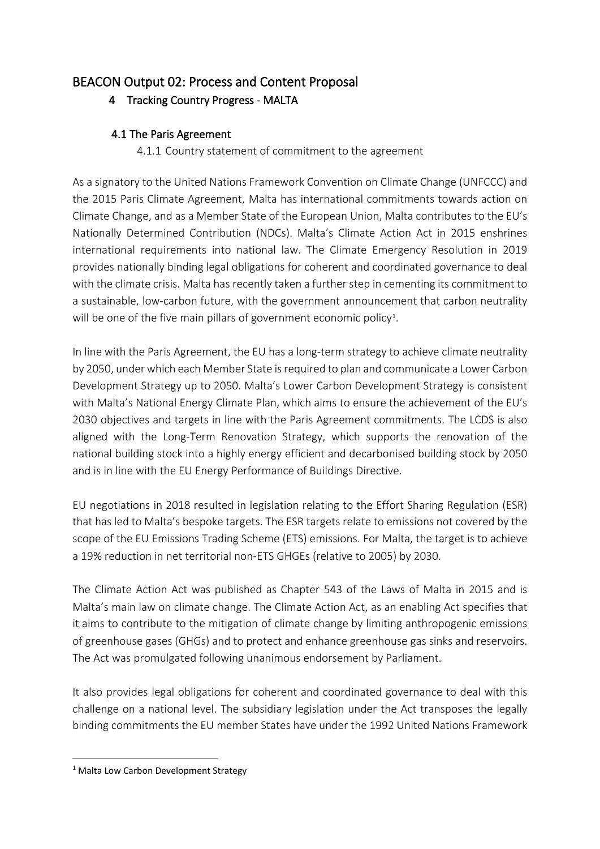# BEACON Output 02: Process and Content Proposal

4 Tracking Country Progress - MALTA

## 4.1 The Paris Agreement

4.1.1 Country statement of commitment to the agreement

As a signatory to the United Nations Framework Convention on Climate Change (UNFCCC) and the 2015 Paris Climate Agreement, Malta has international commitments towards action on Climate Change, and as a Member State of the European Union, Malta contributes to the EU's Nationally Determined Contribution (NDCs). Malta's Climate Action Act in 2015 enshrines international requirements into national law. The Climate Emergency Resolution in 2019 provides nationally binding legal obligations for coherent and coordinated governance to deal with the climate crisis. Malta has recently taken a further step in cementing its commitment to a sustainable, low-carbon future, with the government announcement that carbon neutrality will be one of the five main pillars of government economic policy<sup>[1](#page-0-0)</sup>.

In line with the Paris Agreement, the EU has a long-term strategy to achieve climate neutrality by 2050, under which each Member State is required to plan and communicate a Lower Carbon Development Strategy up to 2050. Malta's Lower Carbon Development Strategy is consistent with Malta's National Energy Climate Plan, which aims to ensure the achievement of the EU's 2030 objectives and targets in line with the Paris Agreement commitments. The LCDS is also aligned with the Long-Term Renovation Strategy, which supports the renovation of the national building stock into a highly energy efficient and decarbonised building stock by 2050 and is in line with the EU Energy Performance of Buildings Directive.

EU negotiations in 2018 resulted in legislation relating to the Effort Sharing Regulation (ESR) that has led to Malta's bespoke targets. The ESR targets relate to emissions not covered by the scope of the EU Emissions Trading Scheme (ETS) emissions. For Malta, the target is to achieve a 19% reduction in net territorial non-ETS GHGEs (relative to 2005) by 2030.

The Climate Action Act was published as Chapter 543 of the Laws of Malta in 2015 and is Malta's main law on climate change. The Climate Action Act, as an enabling Act specifies that it aims to contribute to the mitigation of climate change by limiting anthropogenic emissions of greenhouse gases (GHGs) and to protect and enhance greenhouse gas sinks and reservoirs. The Act was promulgated following unanimous endorsement by Parliament.

It also provides legal obligations for coherent and coordinated governance to deal with this challenge on a national level. The subsidiary legislation under the Act transposes the legally binding commitments the EU member States have under the 1992 United Nations Framework

<span id="page-0-0"></span><sup>1</sup> Malta Low Carbon Development Strategy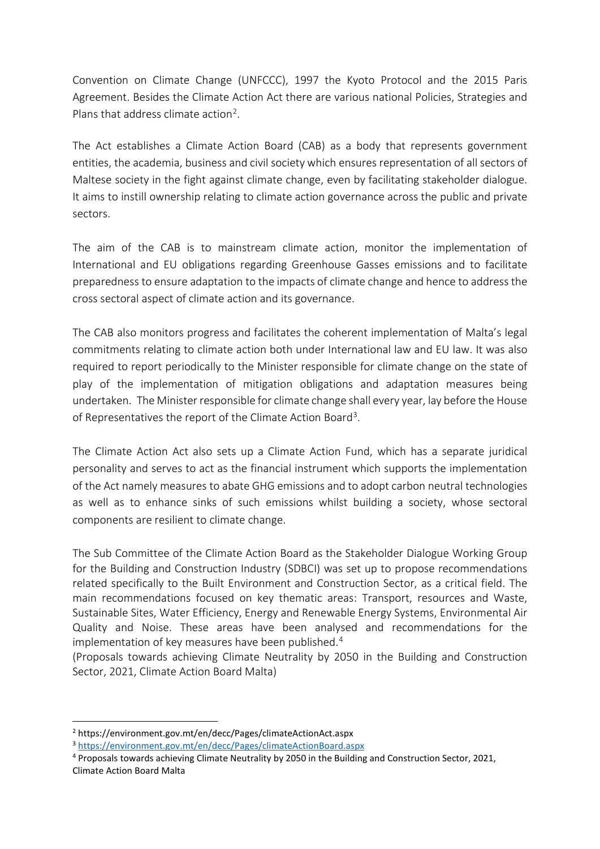Convention on Climate Change (UNFCCC), 1997 the Kyoto Protocol and the 2015 Paris Agreement. Besides the Climate Action Act there are various national Policies, Strategies and Plans that address climate action[2](#page-1-0).

The Act establishes a Climate Action Board (CAB) as a body that represents government entities, the academia, business and civil society which ensures representation of all sectors of Maltese society in the fight against climate change, even by facilitating stakeholder dialogue. It aims to instill ownership relating to climate action governance across the public and private sectors.

The aim of the CAB is to mainstream climate action, monitor the implementation of International and EU obligations regarding Greenhouse Gasses emissions and to facilitate preparedness to ensure adaptation to the impacts of climate change and hence to address the cross sectoral aspect of climate action and its governance.

The CAB also monitors progress and facilitates the coherent implementation of Malta's legal commitments relating to climate action both under International law and EU law. It was also required to report periodically to the Minister responsible for climate change on the state of play of the implementation of mitigation obligations and adaptation measures being undertaken. The Minister responsible for climate change shall every year, lay before the House of Representatives the report of the Climate Action Board[3.](#page-1-1)

The Climate Action Act also sets up a Climate Action Fund, which has a separate juridical personality and serves to act as the financial instrument which supports the implementation of the Act namely measures to abate GHG emissions and to adopt carbon neutral technologies as well as to enhance sinks of such emissions whilst building a society, whose sectoral components are resilient to climate change.

The Sub Committee of the Climate Action Board as the Stakeholder Dialogue Working Group for the Building and Construction Industry (SDBCI) was set up to propose recommendations related specifically to the Built Environment and Construction Sector, as a critical field. The main recommendations focused on key thematic areas: Transport, resources and Waste, Sustainable Sites, Water Efficiency, Energy and Renewable Energy Systems, Environmental Air Quality and Noise. These areas have been analysed and recommendations for the implementation of key measures have been published.<sup>[4](#page-1-2)</sup>

(Proposals towards achieving Climate Neutrality by 2050 in the Building and Construction Sector, 2021, Climate Action Board Malta)

<span id="page-1-0"></span><sup>2</sup> https://environment.gov.mt/en/decc/Pages/climateActionAct.aspx

<span id="page-1-1"></span><sup>3</sup> <https://environment.gov.mt/en/decc/Pages/climateActionBoard.aspx>

<span id="page-1-2"></span><sup>4</sup> Proposals towards achieving Climate Neutrality by 2050 in the Building and Construction Sector, 2021, Climate Action Board Malta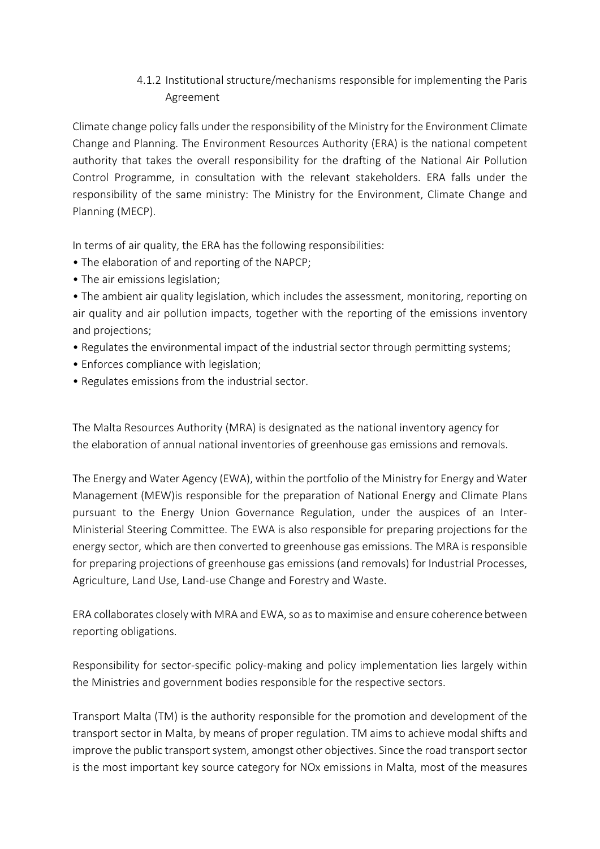## 4.1.2 Institutional structure/mechanisms responsible for implementing the Paris Agreement

Climate change policy falls under the responsibility of the Ministry for the Environment Climate Change and Planning. The Environment Resources Authority (ERA) is the national competent authority that takes the overall responsibility for the drafting of the National Air Pollution Control Programme, in consultation with the relevant stakeholders. ERA falls under the responsibility of the same ministry: The Ministry for the Environment, Climate Change and Planning (MECP).

In terms of air quality, the ERA has the following responsibilities:

- The elaboration of and reporting of the NAPCP;
- The air emissions legislation;

• The ambient air quality legislation, which includes the assessment, monitoring, reporting on air quality and air pollution impacts, together with the reporting of the emissions inventory and projections;

- Regulates the environmental impact of the industrial sector through permitting systems;
- Enforces compliance with legislation;
- Regulates emissions from the industrial sector.

The Malta Resources Authority (MRA) is designated as the national inventory agency for the elaboration of annual national inventories of greenhouse gas emissions and removals.

The Energy and Water Agency (EWA), within the portfolio of the Ministry for Energy and Water Management (MEW)is responsible for the preparation of National Energy and Climate Plans pursuant to the Energy Union Governance Regulation, under the auspices of an Inter-Ministerial Steering Committee. The EWA is also responsible for preparing projections for the energy sector, which are then converted to greenhouse gas emissions. The MRA is responsible for preparing projections of greenhouse gas emissions (and removals) for Industrial Processes, Agriculture, Land Use, Land-use Change and Forestry and Waste.

ERA collaborates closely with MRA and EWA, so as to maximise and ensure coherence between reporting obligations.

Responsibility for sector-specific policy-making and policy implementation lies largely within the Ministries and government bodies responsible for the respective sectors.

Transport Malta (TM) is the authority responsible for the promotion and development of the transport sector in Malta, by means of proper regulation. TM aims to achieve modal shifts and improve the public transport system, amongst other objectives. Since the road transport sector is the most important key source category for NOx emissions in Malta, most of the measures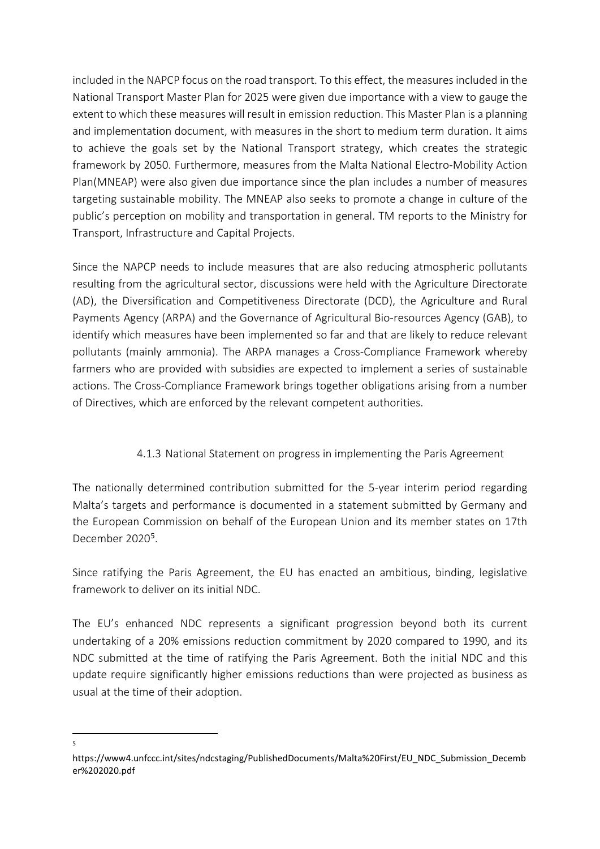included in the NAPCP focus on the road transport. To this effect, the measures included in the National Transport Master Plan for 2025 were given due importance with a view to gauge the extent to which these measures will result in emission reduction. This Master Plan is a planning and implementation document, with measures in the short to medium term duration. It aims to achieve the goals set by the National Transport strategy, which creates the strategic framework by 2050. Furthermore, measures from the Malta National Electro-Mobility Action Plan(MNEAP) were also given due importance since the plan includes a number of measures targeting sustainable mobility. The MNEAP also seeks to promote a change in culture of the public's perception on mobility and transportation in general. TM reports to the Ministry for Transport, Infrastructure and Capital Projects.

Since the NAPCP needs to include measures that are also reducing atmospheric pollutants resulting from the agricultural sector, discussions were held with the Agriculture Directorate (AD), the Diversification and Competitiveness Directorate (DCD), the Agriculture and Rural Payments Agency (ARPA) and the Governance of Agricultural Bio-resources Agency (GAB), to identify which measures have been implemented so far and that are likely to reduce relevant pollutants (mainly ammonia). The ARPA manages a Cross-Compliance Framework whereby farmers who are provided with subsidies are expected to implement a series of sustainable actions. The Cross-Compliance Framework brings together obligations arising from a number of Directives, which are enforced by the relevant competent authorities.

#### 4.1.3 National Statement on progress in implementing the Paris Agreement

The nationally determined contribution submitted for the 5-year interim period regarding Malta's targets and performance is documented in a statement submitted by Germany and the European Commission on behalf of the European Union and its member states on 17th December 2020[5](#page-3-0).

Since ratifying the Paris Agreement, the EU has enacted an ambitious, binding, legislative framework to deliver on its initial NDC.

The EU's enhanced NDC represents a significant progression beyond both its current undertaking of a 20% emissions reduction commitment by 2020 compared to 1990, and its NDC submitted at the time of ratifying the Paris Agreement. Both the initial NDC and this update require significantly higher emissions reductions than were projected as business as usual at the time of their adoption.

5

<span id="page-3-0"></span>https://www4.unfccc.int/sites/ndcstaging/PublishedDocuments/Malta%20First/EU\_NDC\_Submission\_Decemb er%202020.pdf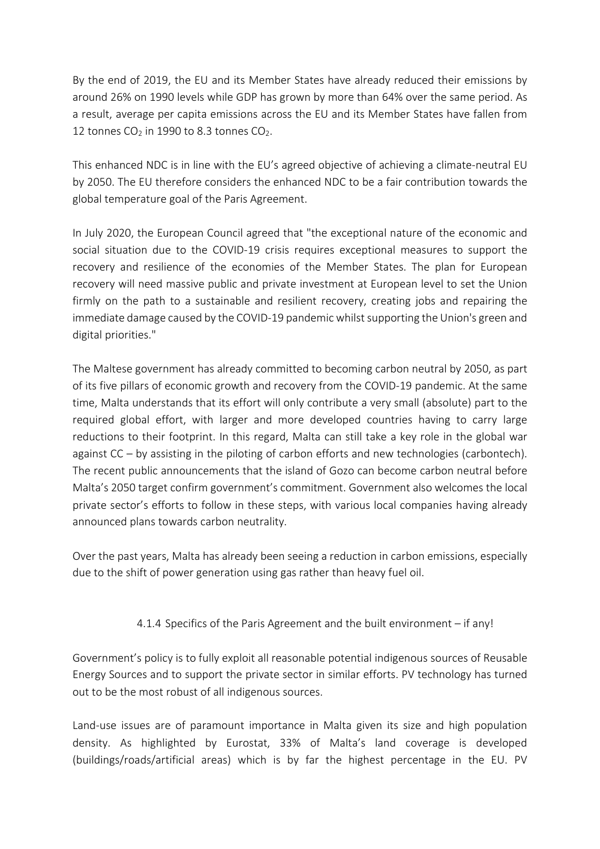By the end of 2019, the EU and its Member States have already reduced their emissions by around 26% on 1990 levels while GDP has grown by more than 64% over the same period. As a result, average per capita emissions across the EU and its Member States have fallen from 12 tonnes  $CO<sub>2</sub>$  in 1990 to 8.3 tonnes  $CO<sub>2</sub>$ .

This enhanced NDC is in line with the EU's agreed objective of achieving a climate-neutral EU by 2050. The EU therefore considers the enhanced NDC to be a fair contribution towards the global temperature goal of the Paris Agreement.

In July 2020, the European Council agreed that "the exceptional nature of the economic and social situation due to the COVID-19 crisis requires exceptional measures to support the recovery and resilience of the economies of the Member States. The plan for European recovery will need massive public and private investment at European level to set the Union firmly on the path to a sustainable and resilient recovery, creating jobs and repairing the immediate damage caused by the COVID-19 pandemic whilst supporting the Union's green and digital priorities."

The Maltese government has already committed to becoming carbon neutral by 2050, as part of its five pillars of economic growth and recovery from the COVID-19 pandemic. At the same time, Malta understands that its effort will only contribute a very small (absolute) part to the required global effort, with larger and more developed countries having to carry large reductions to their footprint. In this regard, Malta can still take a key role in the global war against CC – by assisting in the piloting of carbon efforts and new technologies (carbontech). The recent public announcements that the island of Gozo can become carbon neutral before Malta's 2050 target confirm government's commitment. Government also welcomes the local private sector's efforts to follow in these steps, with various local companies having already announced plans towards carbon neutrality.

Over the past years, Malta has already been seeing a reduction in carbon emissions, especially due to the shift of power generation using gas rather than heavy fuel oil.

#### 4.1.4 Specifics of the Paris Agreement and the built environment – if any!

Government's policy is to fully exploit all reasonable potential indigenous sources of Reusable Energy Sources and to support the private sector in similar efforts. PV technology has turned out to be the most robust of all indigenous sources.

Land-use issues are of paramount importance in Malta given its size and high population density. As highlighted by Eurostat, 33% of Malta's land coverage is developed (buildings/roads/artificial areas) which is by far the highest percentage in the EU. PV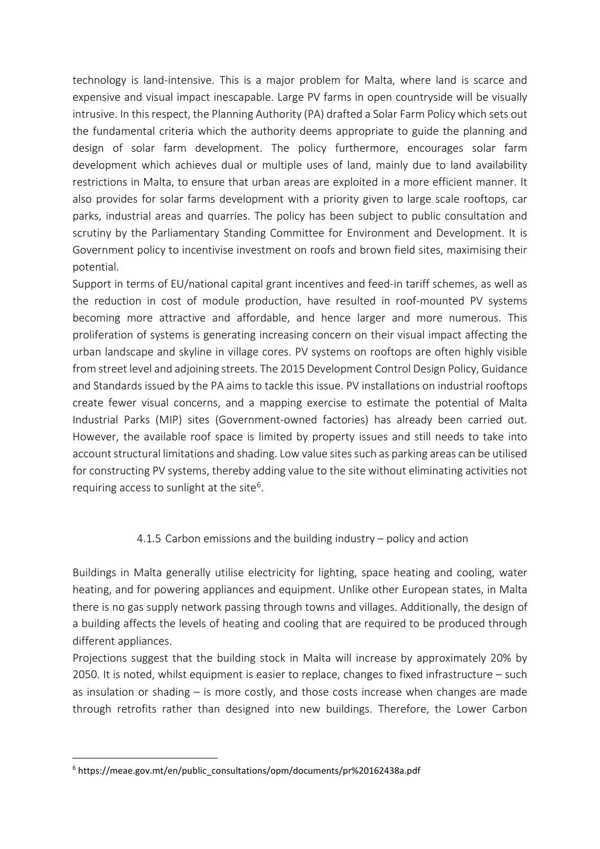technology is land-intensive. This is a major problem for Malta, where land is scarce and expensive and visual impact inescapable. Large PV farms in open countryside will be visually intrusive. In this respect, the Planning Authority (PA) drafted a Solar Farm Policy which sets out the fundamental criteria which the authority deems appropriate to guide the planning and design of solar farm development. The policy furthermore, encourages solar farm development which achieves dual or multiple uses of land, mainly due to land availability restrictions in Malta, to ensure that urban areas are exploited in a more efficient manner. It also provides for solar farms development with a priority given to large scale rooftops, car parks, industrial areas and quarries. The policy has been subject to public consultation and scrutiny by the Parliamentary Standing Committee for Environment and Development. It is Government policy to incentivise investment on roofs and brown field sites, maximising their potential.

Support in terms of EU/national capital grant incentives and feed-in tariff schemes, as well as the reduction in cost of module production, have resulted in roof-mounted PV systems becoming more attractive and affordable, and hence larger and more numerous. This proliferation of systems is generating increasing concern on their visual impact affecting the urban landscape and skyline in village cores. PV systems on rooftops are often highly visible from street level and adjoining streets. The 2015 Development Control Design Policy, Guidance and Standards issued by the PA aims to tackle this issue. PV installations on industrial rooftops create fewer visual concerns, and a mapping exercise to estimate the potential of Malta Industrial Parks (MIP) sites (Government-owned factories) has already been carried out. However, the available roof space is limited by property issues and still needs to take into account structural limitations and shading. Low value sites such as parking areas can be utilised for constructing PV systems, thereby adding value to the site without eliminating activities not requiring access to sunlight at the site<sup>[6](#page-5-0)</sup>.

#### 4.1.5 Carbon emissions and the building industry – policy and action

Buildings in Malta generally utilise electricity for lighting, space heating and cooling, water heating, and for powering appliances and equipment. Unlike other European states, in Malta there is no gas supply network passing through towns and villages. Additionally, the design of a building affects the levels of heating and cooling that are required to be produced through different appliances.

Projections suggest that the building stock in Malta will increase by approximately 20% by 2050. It is noted, whilst equipment is easier to replace, changes to fixed infrastructure – such as insulation or shading – is more costly, and those costs increase when changes are made through retrofits rather than designed into new buildings. Therefore, the Lower Carbon

<span id="page-5-0"></span><sup>6</sup> https://meae.gov.mt/en/public\_consultations/opm/documents/pr%20162438a.pdf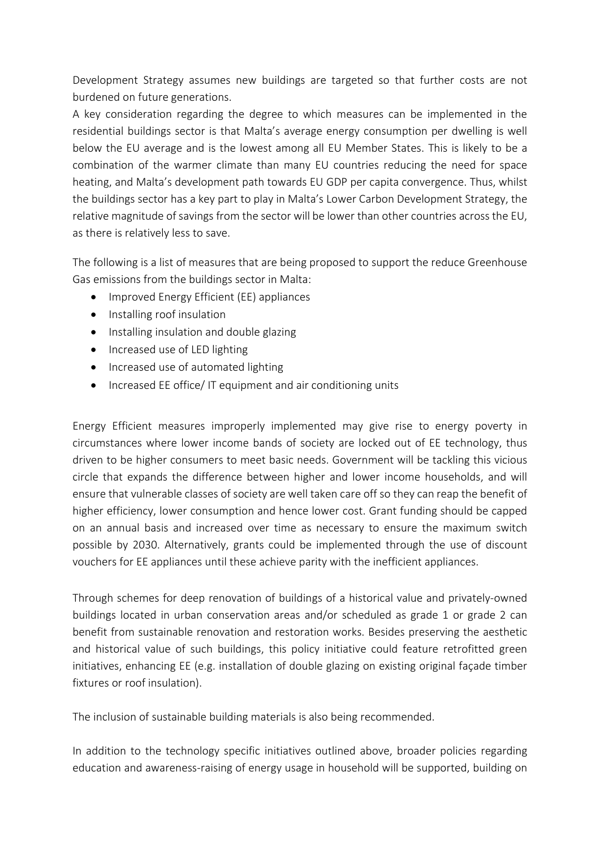Development Strategy assumes new buildings are targeted so that further costs are not burdened on future generations.

A key consideration regarding the degree to which measures can be implemented in the residential buildings sector is that Malta's average energy consumption per dwelling is well below the EU average and is the lowest among all EU Member States. This is likely to be a combination of the warmer climate than many EU countries reducing the need for space heating, and Malta's development path towards EU GDP per capita convergence. Thus, whilst the buildings sector has a key part to play in Malta's Lower Carbon Development Strategy, the relative magnitude of savings from the sector will be lower than other countries across the EU, as there is relatively less to save.

The following is a list of measures that are being proposed to support the reduce Greenhouse Gas emissions from the buildings sector in Malta:

- Improved Energy Efficient (EE) appliances
- Installing roof insulation
- Installing insulation and double glazing
- Increased use of LED lighting
- Increased use of automated lighting
- Increased EE office/ IT equipment and air conditioning units

Energy Efficient measures improperly implemented may give rise to energy poverty in circumstances where lower income bands of society are locked out of EE technology, thus driven to be higher consumers to meet basic needs. Government will be tackling this vicious circle that expands the difference between higher and lower income households, and will ensure that vulnerable classes of society are well taken care off so they can reap the benefit of higher efficiency, lower consumption and hence lower cost. Grant funding should be capped on an annual basis and increased over time as necessary to ensure the maximum switch possible by 2030. Alternatively, grants could be implemented through the use of discount vouchers for EE appliances until these achieve parity with the inefficient appliances.

Through schemes for deep renovation of buildings of a historical value and privately-owned buildings located in urban conservation areas and/or scheduled as grade 1 or grade 2 can benefit from sustainable renovation and restoration works. Besides preserving the aesthetic and historical value of such buildings, this policy initiative could feature retrofitted green initiatives, enhancing EE (e.g. installation of double glazing on existing original façade timber fixtures or roof insulation).

The inclusion of sustainable building materials is also being recommended.

In addition to the technology specific initiatives outlined above, broader policies regarding education and awareness-raising of energy usage in household will be supported, building on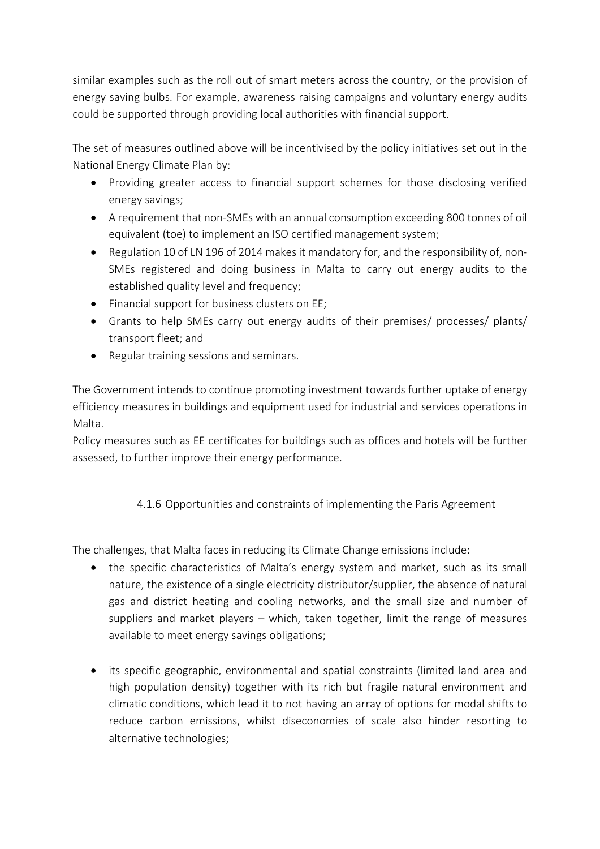similar examples such as the roll out of smart meters across the country, or the provision of energy saving bulbs. For example, awareness raising campaigns and voluntary energy audits could be supported through providing local authorities with financial support.

The set of measures outlined above will be incentivised by the policy initiatives set out in the National Energy Climate Plan by:

- Providing greater access to financial support schemes for those disclosing verified energy savings;
- A requirement that non-SMEs with an annual consumption exceeding 800 tonnes of oil equivalent (toe) to implement an ISO certified management system;
- Regulation 10 of LN 196 of 2014 makes it mandatory for, and the responsibility of, non-SMEs registered and doing business in Malta to carry out energy audits to the established quality level and frequency;
- Financial support for business clusters on EE;
- Grants to help SMEs carry out energy audits of their premises/ processes/ plants/ transport fleet; and
- Regular training sessions and seminars.

The Government intends to continue promoting investment towards further uptake of energy efficiency measures in buildings and equipment used for industrial and services operations in Malta.

Policy measures such as EE certificates for buildings such as offices and hotels will be further assessed, to further improve their energy performance.

# 4.1.6 Opportunities and constraints of implementing the Paris Agreement

The challenges, that Malta faces in reducing its Climate Change emissions include:

- the specific characteristics of Malta's energy system and market, such as its small nature, the existence of a single electricity distributor/supplier, the absence of natural gas and district heating and cooling networks, and the small size and number of suppliers and market players – which, taken together, limit the range of measures available to meet energy savings obligations;
- its specific geographic, environmental and spatial constraints (limited land area and high population density) together with its rich but fragile natural environment and climatic conditions, which lead it to not having an array of options for modal shifts to reduce carbon emissions, whilst diseconomies of scale also hinder resorting to alternative technologies;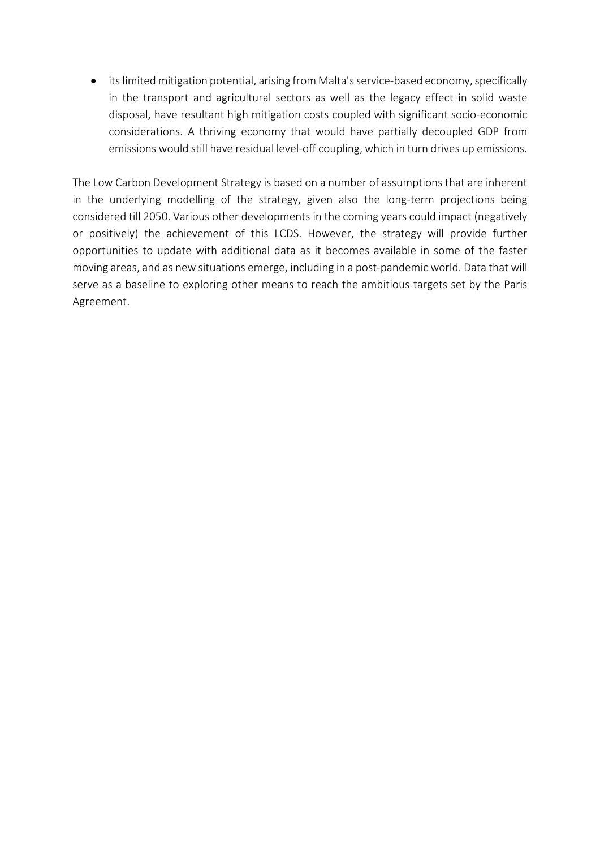• its limited mitigation potential, arising from Malta's service-based economy, specifically in the transport and agricultural sectors as well as the legacy effect in solid waste disposal, have resultant high mitigation costs coupled with significant socio-economic considerations. A thriving economy that would have partially decoupled GDP from emissions would still have residual level-off coupling, which in turn drives up emissions.

The Low Carbon Development Strategy is based on a number of assumptions that are inherent in the underlying modelling of the strategy, given also the long-term projections being considered till 2050. Various other developments in the coming years could impact (negatively or positively) the achievement of this LCDS. However, the strategy will provide further opportunities to update with additional data as it becomes available in some of the faster moving areas, and as new situations emerge, including in a post-pandemic world. Data that will serve as a baseline to exploring other means to reach the ambitious targets set by the Paris Agreement.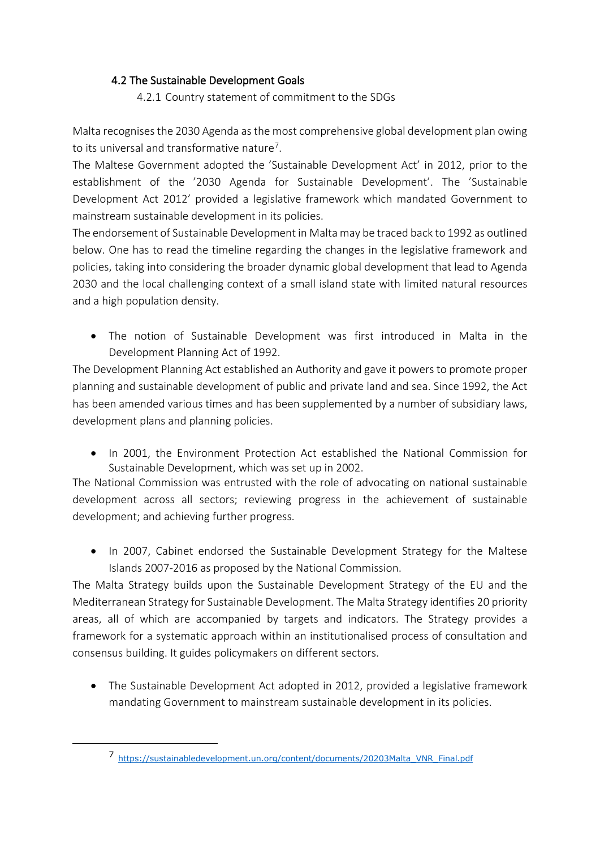### 4.2 The Sustainable Development Goals

4.2.1 Country statement of commitment to the SDGs

Malta recognises the 2030 Agenda as the most comprehensive global development plan owing to its universal and transformative nature<sup>7</sup>.

The Maltese Government adopted the 'Sustainable Development Act' in 2012, prior to the establishment of the '2030 Agenda for Sustainable Development'. The 'Sustainable Development Act 2012' provided a legislative framework which mandated Government to mainstream sustainable development in its policies.

The endorsement of Sustainable Development in Malta may be traced back to 1992 as outlined below. One has to read the timeline regarding the changes in the legislative framework and policies, taking into considering the broader dynamic global development that lead to Agenda 2030 and the local challenging context of a small island state with limited natural resources and a high population density.

• The notion of Sustainable Development was first introduced in Malta in the Development Planning Act of 1992.

The Development Planning Act established an Authority and gave it powers to promote proper planning and sustainable development of public and private land and sea. Since 1992, the Act has been amended various times and has been supplemented by a number of subsidiary laws, development plans and planning policies.

• In 2001, the Environment Protection Act established the National Commission for Sustainable Development, which was set up in 2002.

The National Commission was entrusted with the role of advocating on national sustainable development across all sectors; reviewing progress in the achievement of sustainable development; and achieving further progress.

• In 2007, Cabinet endorsed the Sustainable Development Strategy for the Maltese Islands 2007-2016 as proposed by the National Commission.

The Malta Strategy builds upon the Sustainable Development Strategy of the EU and the Mediterranean Strategy for Sustainable Development. The Malta Strategy identifies 20 priority areas, all of which are accompanied by targets and indicators. The Strategy provides a framework for a systematic approach within an institutionalised process of consultation and consensus building. It guides policymakers on different sectors.

• The Sustainable Development Act adopted in 2012, provided a legislative framework mandating Government to mainstream sustainable development in its policies.

<span id="page-9-0"></span><sup>7</sup> [https://sustainabledevelopment.un.org/content/documents/20203Malta\\_VNR\\_Final.pdf](https://sustainabledevelopment.un.org/content/documents/20203Malta_VNR_Final.pdf)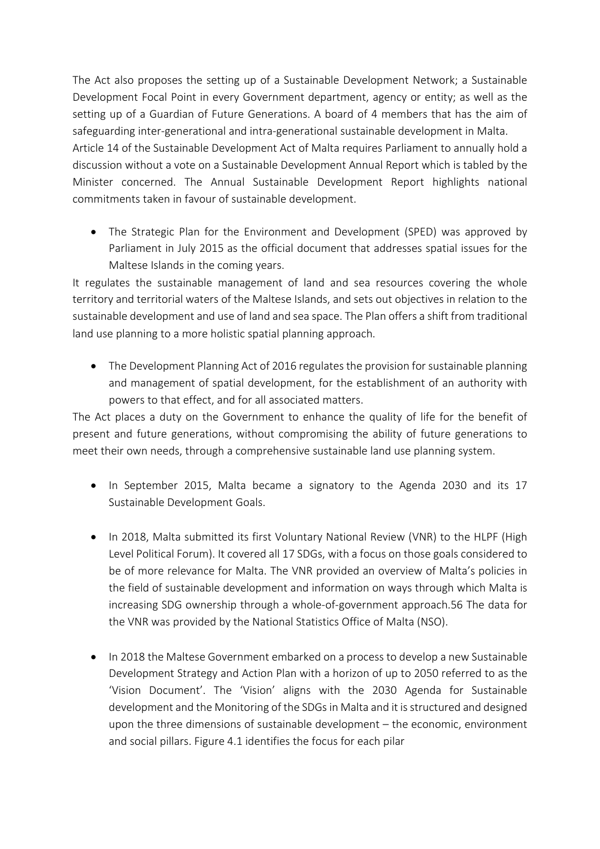The Act also proposes the setting up of a Sustainable Development Network; a Sustainable Development Focal Point in every Government department, agency or entity; as well as the setting up of a Guardian of Future Generations. A board of 4 members that has the aim of safeguarding inter-generational and intra-generational sustainable development in Malta. Article 14 of the Sustainable Development Act of Malta requires Parliament to annually hold a discussion without a vote on a Sustainable Development Annual Report which is tabled by the Minister concerned. The Annual Sustainable Development Report highlights national commitments taken in favour of sustainable development.

• The Strategic Plan for the Environment and Development (SPED) was approved by Parliament in July 2015 as the official document that addresses spatial issues for the Maltese Islands in the coming years.

It regulates the sustainable management of land and sea resources covering the whole territory and territorial waters of the Maltese Islands, and sets out objectives in relation to the sustainable development and use of land and sea space. The Plan offers a shift from traditional land use planning to a more holistic spatial planning approach.

• The Development Planning Act of 2016 regulates the provision for sustainable planning and management of spatial development, for the establishment of an authority with powers to that effect, and for all associated matters.

The Act places a duty on the Government to enhance the quality of life for the benefit of present and future generations, without compromising the ability of future generations to meet their own needs, through a comprehensive sustainable land use planning system.

- In September 2015, Malta became a signatory to the Agenda 2030 and its 17 Sustainable Development Goals.
- In 2018, Malta submitted its first Voluntary National Review (VNR) to the HLPF (High Level Political Forum). It covered all 17 SDGs, with a focus on those goals considered to be of more relevance for Malta. The VNR provided an overview of Malta's policies in the field of sustainable development and information on ways through which Malta is increasing SDG ownership through a whole-of-government approach.56 The data for the VNR was provided by the National Statistics Office of Malta (NSO).
- In 2018 the Maltese Government embarked on a process to develop a new Sustainable Development Strategy and Action Plan with a horizon of up to 2050 referred to as the 'Vision Document'. The 'Vision' aligns with the 2030 Agenda for Sustainable development and the Monitoring of the SDGs in Malta and it is structured and designed upon the three dimensions of sustainable development – the economic, environment and social pillars. Figure 4.1 identifies the focus for each pilar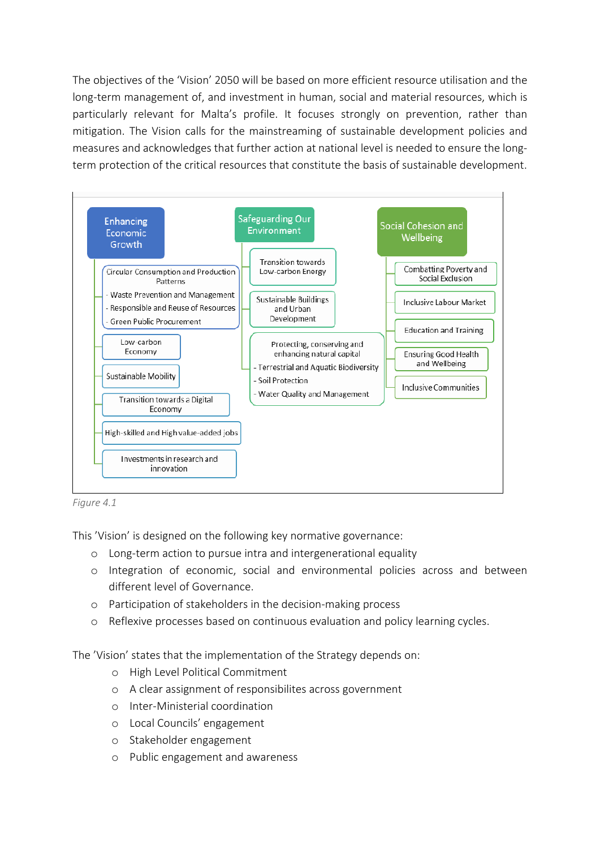The objectives of the 'Vision' 2050 will be based on more efficient resource utilisation and the long-term management of, and investment in human, social and material resources, which is particularly relevant for Malta's profile. It focuses strongly on prevention, rather than mitigation. The Vision calls for the mainstreaming of sustainable development policies and measures and acknowledges that further action at national level is needed to ensure the longterm protection of the critical resources that constitute the basis of sustainable development.





This 'Vision' is designed on the following key normative governance:

- o Long-term action to pursue intra and intergenerational equality
- o Integration of economic, social and environmental policies across and between different level of Governance.
- o Participation of stakeholders in the decision-making process
- o Reflexive processes based on continuous evaluation and policy learning cycles.

The 'Vision' states that the implementation of the Strategy depends on:

- o High Level Political Commitment
- o A clear assignment of responsibilites across government
- o Inter-Ministerial coordination
- o Local Councils' engagement
- o Stakeholder engagement
- o Public engagement and awareness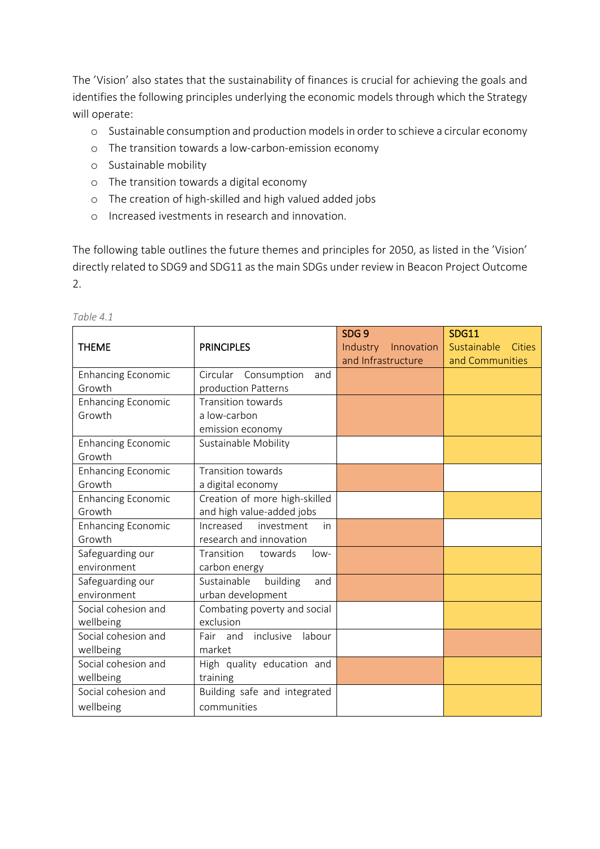The 'Vision' also states that the sustainability of finances is crucial for achieving the goals and identifies the following principles underlying the economic models through which the Strategy will operate:

- o Sustainable consumption and production models in order to schieve a circular economy
- o The transition towards a low-carbon-emission economy
- o Sustainable mobility
- o The transition towards a digital economy
- o The creation of high-skilled and high valued added jobs
- o Increased ivestments in research and innovation.

The following table outlines the future themes and principles for 2050, as listed in the 'Vision' directly related to SDG9 and SDG11 as the main SDGs under review in Beacon Project Outcome 2.

|                           |                                 | SDG <sub>9</sub>       | <b>SDG11</b>          |
|---------------------------|---------------------------------|------------------------|-----------------------|
| <b>THEME</b>              | <b>PRINCIPLES</b>               | Industry<br>Innovation | Sustainable<br>Cities |
|                           |                                 | and Infrastructure     | and Communities       |
| <b>Enhancing Economic</b> | Circular Consumption<br>and     |                        |                       |
| Growth                    | production Patterns             |                        |                       |
| <b>Enhancing Economic</b> | <b>Transition towards</b>       |                        |                       |
| Growth                    | a low-carbon                    |                        |                       |
|                           | emission economy                |                        |                       |
| <b>Enhancing Economic</b> | Sustainable Mobility            |                        |                       |
| Growth                    |                                 |                        |                       |
| <b>Enhancing Economic</b> | <b>Transition towards</b>       |                        |                       |
| Growth                    | a digital economy               |                        |                       |
| <b>Enhancing Economic</b> | Creation of more high-skilled   |                        |                       |
| Growth                    | and high value-added jobs       |                        |                       |
| <b>Enhancing Economic</b> | Increased<br>investment<br>in   |                        |                       |
| Growth                    | research and innovation         |                        |                       |
| Safeguarding our          | Transition<br>towards<br>$low-$ |                        |                       |
| environment               | carbon energy                   |                        |                       |
| Safeguarding our          | Sustainable<br>building<br>and  |                        |                       |
| environment               | urban development               |                        |                       |
| Social cohesion and       | Combating poverty and social    |                        |                       |
| wellbeing                 | exclusion                       |                        |                       |
| Social cohesion and       | inclusive<br>labour<br>Fair and |                        |                       |
| wellbeing                 | market                          |                        |                       |
| Social cohesion and       | High quality education and      |                        |                       |
| wellbeing                 | training                        |                        |                       |
| Social cohesion and       | Building safe and integrated    |                        |                       |
| wellbeing                 | communities                     |                        |                       |

*Table 4.1*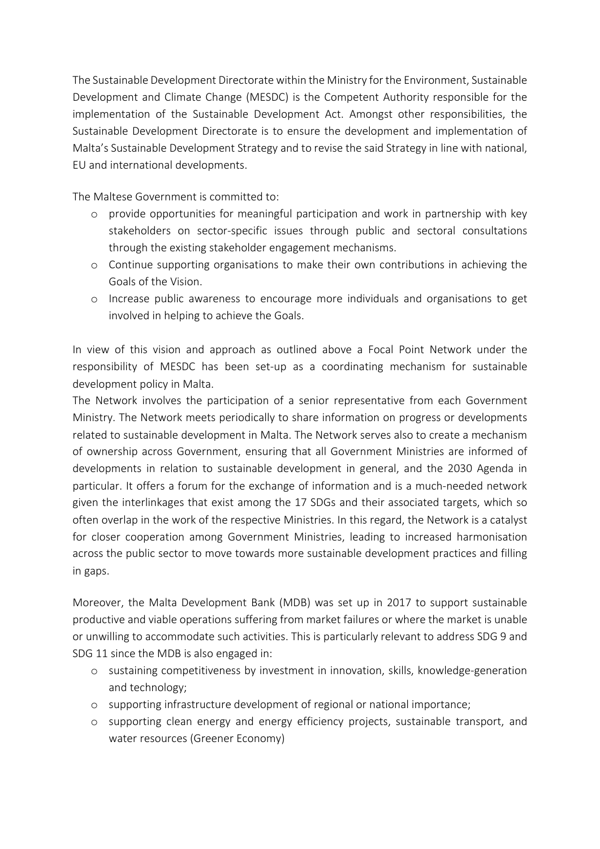The Sustainable Development Directorate within the Ministry for the Environment, Sustainable Development and Climate Change (MESDC) is the Competent Authority responsible for the implementation of the Sustainable Development Act. Amongst other responsibilities, the Sustainable Development Directorate is to ensure the development and implementation of Malta's Sustainable Development Strategy and to revise the said Strategy in line with national, EU and international developments.

The Maltese Government is committed to:

- o provide opportunities for meaningful participation and work in partnership with key stakeholders on sector-specific issues through public and sectoral consultations through the existing stakeholder engagement mechanisms.
- o Continue supporting organisations to make their own contributions in achieving the Goals of the Vision.
- o Increase public awareness to encourage more individuals and organisations to get involved in helping to achieve the Goals.

In view of this vision and approach as outlined above a Focal Point Network under the responsibility of MESDC has been set-up as a coordinating mechanism for sustainable development policy in Malta.

The Network involves the participation of a senior representative from each Government Ministry. The Network meets periodically to share information on progress or developments related to sustainable development in Malta. The Network serves also to create a mechanism of ownership across Government, ensuring that all Government Ministries are informed of developments in relation to sustainable development in general, and the 2030 Agenda in particular. It offers a forum for the exchange of information and is a much-needed network given the interlinkages that exist among the 17 SDGs and their associated targets, which so often overlap in the work of the respective Ministries. In this regard, the Network is a catalyst for closer cooperation among Government Ministries, leading to increased harmonisation across the public sector to move towards more sustainable development practices and filling in gaps.

Moreover, the Malta Development Bank (MDB) was set up in 2017 to support sustainable productive and viable operations suffering from market failures or where the market is unable or unwilling to accommodate such activities. This is particularly relevant to address SDG 9 and SDG 11 since the MDB is also engaged in:

- o sustaining competitiveness by investment in innovation, skills, knowledge-generation and technology;
- o supporting infrastructure development of regional or national importance;
- o supporting clean energy and energy efficiency projects, sustainable transport, and water resources (Greener Economy)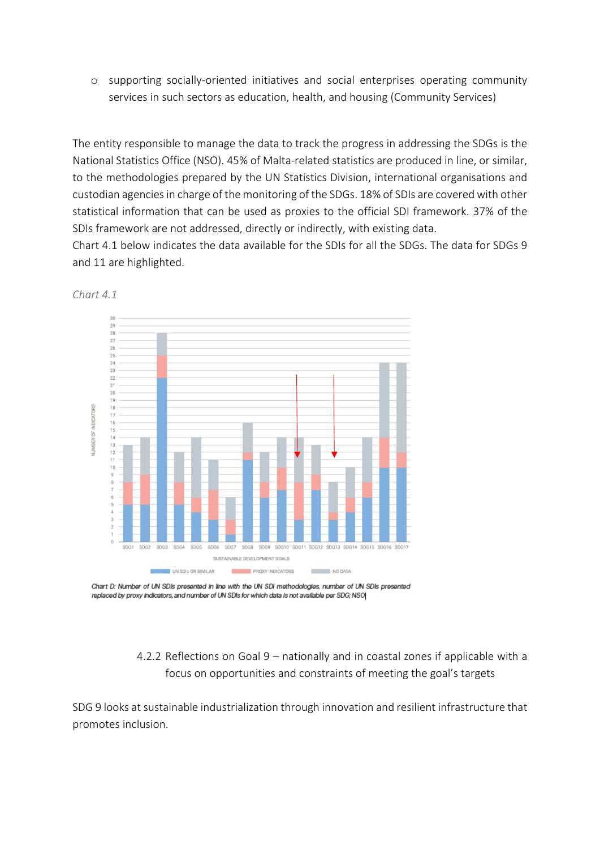o supporting socially-oriented initiatives and social enterprises operating community services in such sectors as education, health, and housing (Community Services)

The entity responsible to manage the data to track the progress in addressing the SDGs is the National Statistics Office (NSO). 45% of Malta-related statistics are produced in line, or similar, to the methodologies prepared by the UN Statistics Division, international organisations and custodian agencies in charge of the monitoring of the SDGs. 18% of SDIs are covered with other statistical information that can be used as proxies to the official SDI framework. 37% of the SDIs framework are not addressed, directly or indirectly, with existing data.

Chart 4.1 below indicates the data available for the SDIs for all the SDGs. The data for SDGs 9 and 11 are highlighted.





# 4.2.2 Reflections on Goal 9 – nationally and in coastal zones if applicable with a focus on opportunities and constraints of meeting the goal's targets

SDG 9 looks at sustainable industrialization through innovation and resilient infrastructure that promotes inclusion.

Chart D: Number of UN SDIs presented in line with the UN SDI methodologies, number of UN SDIs presented replaced by proxy indicators, and number of UN SDIs for which data is not available per SDG: NSOI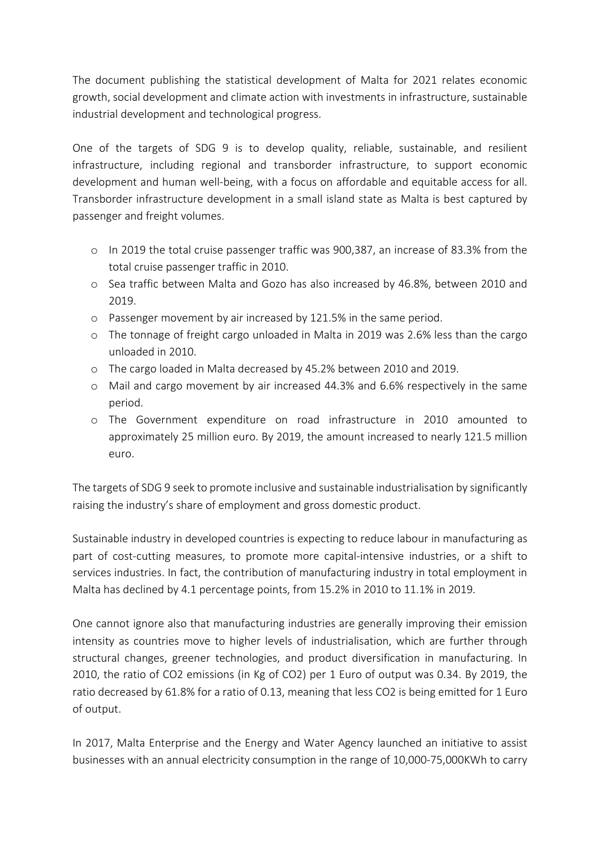The document publishing the statistical development of Malta for 2021 relates economic growth, social development and climate action with investments in infrastructure, sustainable industrial development and technological progress.

One of the targets of SDG 9 is to develop quality, reliable, sustainable, and resilient infrastructure, including regional and transborder infrastructure, to support economic development and human well-being, with a focus on affordable and equitable access for all. Transborder infrastructure development in a small island state as Malta is best captured by passenger and freight volumes.

- o In 2019 the total cruise passenger traffic was 900,387, an increase of 83.3% from the total cruise passenger traffic in 2010.
- o Sea traffic between Malta and Gozo has also increased by 46.8%, between 2010 and 2019.
- o Passenger movement by air increased by 121.5% in the same period.
- o The tonnage of freight cargo unloaded in Malta in 2019 was 2.6% less than the cargo unloaded in 2010.
- o The cargo loaded in Malta decreased by 45.2% between 2010 and 2019.
- o Mail and cargo movement by air increased 44.3% and 6.6% respectively in the same period.
- o The Government expenditure on road infrastructure in 2010 amounted to approximately 25 million euro. By 2019, the amount increased to nearly 121.5 million euro.

The targets of SDG 9 seek to promote inclusive and sustainable industrialisation by significantly raising the industry's share of employment and gross domestic product.

Sustainable industry in developed countries is expecting to reduce labour in manufacturing as part of cost-cutting measures, to promote more capital-intensive industries, or a shift to services industries. In fact, the contribution of manufacturing industry in total employment in Malta has declined by 4.1 percentage points, from 15.2% in 2010 to 11.1% in 2019.

One cannot ignore also that manufacturing industries are generally improving their emission intensity as countries move to higher levels of industrialisation, which are further through structural changes, greener technologies, and product diversification in manufacturing. In 2010, the ratio of CO2 emissions (in Kg of CO2) per 1 Euro of output was 0.34. By 2019, the ratio decreased by 61.8% for a ratio of 0.13, meaning that less CO2 is being emitted for 1 Euro of output.

In 2017, Malta Enterprise and the Energy and Water Agency launched an initiative to assist businesses with an annual electricity consumption in the range of 10,000-75,000KWh to carry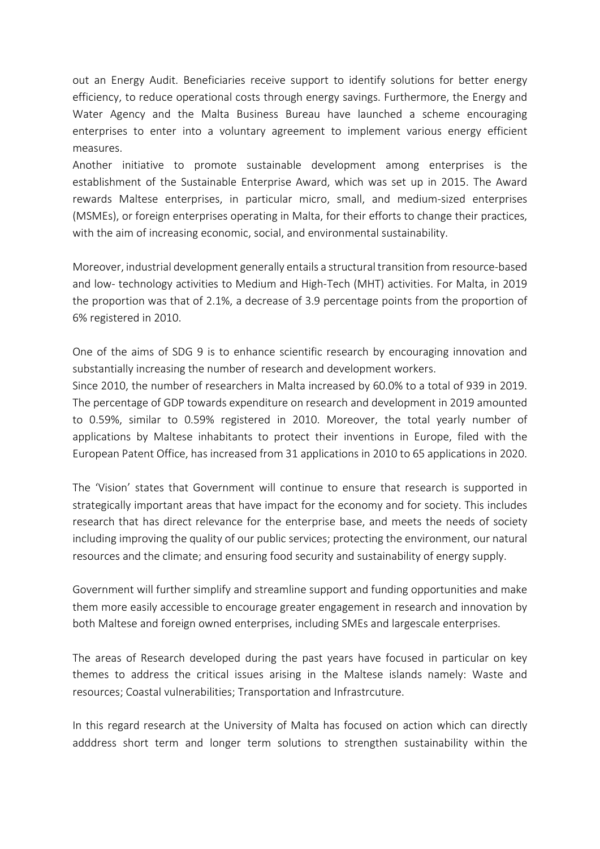out an Energy Audit. Beneficiaries receive support to identify solutions for better energy efficiency, to reduce operational costs through energy savings. Furthermore, the Energy and Water Agency and the Malta Business Bureau have launched a scheme encouraging enterprises to enter into a voluntary agreement to implement various energy efficient measures.

Another initiative to promote sustainable development among enterprises is the establishment of the Sustainable Enterprise Award, which was set up in 2015. The Award rewards Maltese enterprises, in particular micro, small, and medium-sized enterprises (MSMEs), or foreign enterprises operating in Malta, for their efforts to change their practices, with the aim of increasing economic, social, and environmental sustainability.

Moreover, industrial development generally entails a structural transition from resource-based and low- technology activities to Medium and High-Tech (MHT) activities. For Malta, in 2019 the proportion was that of 2.1%, a decrease of 3.9 percentage points from the proportion of 6% registered in 2010.

One of the aims of SDG 9 is to enhance scientific research by encouraging innovation and substantially increasing the number of research and development workers.

Since 2010, the number of researchers in Malta increased by 60.0% to a total of 939 in 2019. The percentage of GDP towards expenditure on research and development in 2019 amounted to 0.59%, similar to 0.59% registered in 2010. Moreover, the total yearly number of applications by Maltese inhabitants to protect their inventions in Europe, filed with the European Patent Office, has increased from 31 applications in 2010 to 65 applications in 2020.

The 'Vision' states that Government will continue to ensure that research is supported in strategically important areas that have impact for the economy and for society. This includes research that has direct relevance for the enterprise base, and meets the needs of society including improving the quality of our public services; protecting the environment, our natural resources and the climate; and ensuring food security and sustainability of energy supply.

Government will further simplify and streamline support and funding opportunities and make them more easily accessible to encourage greater engagement in research and innovation by both Maltese and foreign owned enterprises, including SMEs and largescale enterprises.

The areas of Research developed during the past years have focused in particular on key themes to address the critical issues arising in the Maltese islands namely: Waste and resources; Coastal vulnerabilities; Transportation and Infrastrcuture.

In this regard research at the University of Malta has focused on action which can directly adddress short term and longer term solutions to strengthen sustainability within the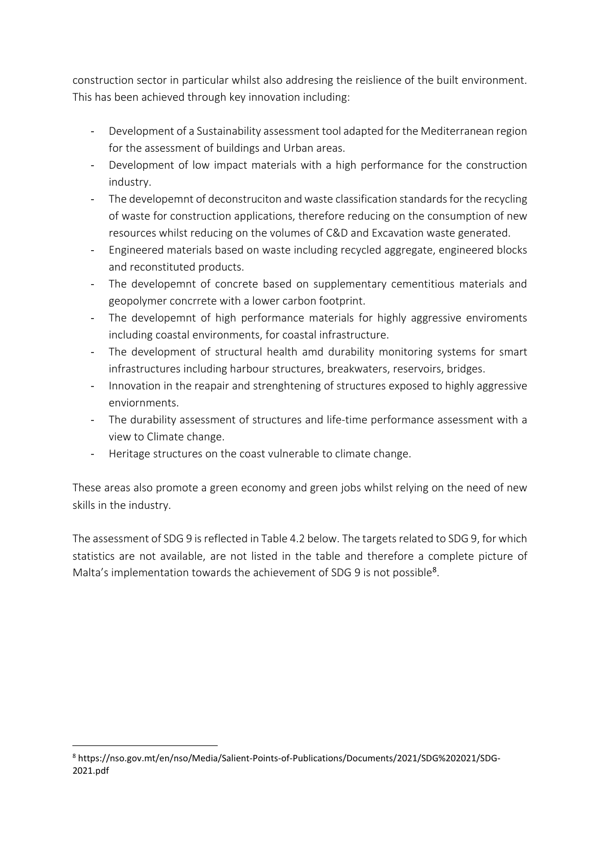construction sector in particular whilst also addresing the reislience of the built environment. This has been achieved through key innovation including:

- Development of a Sustainability assessment tool adapted for the Mediterranean region for the assessment of buildings and Urban areas.
- Development of low impact materials with a high performance for the construction industry.
- The developemnt of deconstruciton and waste classification standards for the recycling of waste for construction applications, therefore reducing on the consumption of new resources whilst reducing on the volumes of C&D and Excavation waste generated.
- Engineered materials based on waste including recycled aggregate, engineered blocks and reconstituted products.
- The developemnt of concrete based on supplementary cementitious materials and geopolymer concrrete with a lower carbon footprint.
- The developemnt of high performance materials for highly aggressive enviroments including coastal environments, for coastal infrastructure.
- The development of structural health amd durability monitoring systems for smart infrastructures including harbour structures, breakwaters, reservoirs, bridges.
- Innovation in the reapair and strenghtening of structures exposed to highly aggressive enviornments.
- The durability assessment of structures and life-time performance assessment with a view to Climate change.
- Heritage structures on the coast vulnerable to climate change.

These areas also promote a green economy and green jobs whilst relying on the need of new skills in the industry.

The assessment of SDG 9 is reflected in Table 4.2 below. The targets related to SDG 9, for which statistics are not available, are not listed in the table and therefore a complete picture of Malta's implementation towards the achievement of SDG 9 is not possible<sup>[8](#page-17-0)</sup>.

<span id="page-17-0"></span><sup>8</sup> https://nso.gov.mt/en/nso/Media/Salient-Points-of-Publications/Documents/2021/SDG%202021/SDG-2021.pdf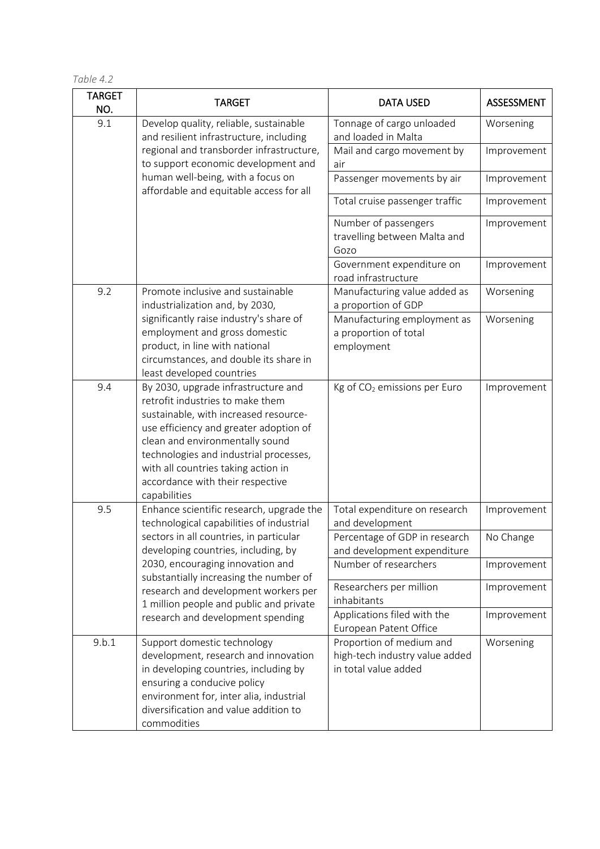*Table 4.2*

| <b>TARGET</b><br>NO. | <b>TARGET</b>                                                                                                                                                                                                                                                                                                                      | <b>DATA USED</b>                                                                   | <b>ASSESSMENT</b> |
|----------------------|------------------------------------------------------------------------------------------------------------------------------------------------------------------------------------------------------------------------------------------------------------------------------------------------------------------------------------|------------------------------------------------------------------------------------|-------------------|
| 9.1                  | Develop quality, reliable, sustainable<br>and resilient infrastructure, including                                                                                                                                                                                                                                                  | Tonnage of cargo unloaded<br>and loaded in Malta                                   | Worsening         |
|                      | regional and transborder infrastructure,<br>to support economic development and                                                                                                                                                                                                                                                    | Mail and cargo movement by<br>air                                                  | Improvement       |
|                      | human well-being, with a focus on<br>affordable and equitable access for all                                                                                                                                                                                                                                                       | Passenger movements by air                                                         | Improvement       |
|                      |                                                                                                                                                                                                                                                                                                                                    | Total cruise passenger traffic                                                     | Improvement       |
|                      |                                                                                                                                                                                                                                                                                                                                    | Number of passengers<br>travelling between Malta and<br>Gozo                       | Improvement       |
|                      |                                                                                                                                                                                                                                                                                                                                    | Government expenditure on<br>road infrastructure                                   | Improvement       |
| 9.2                  | Promote inclusive and sustainable<br>industrialization and, by 2030,                                                                                                                                                                                                                                                               | Manufacturing value added as<br>a proportion of GDP                                | Worsening         |
|                      | significantly raise industry's share of<br>employment and gross domestic<br>product, in line with national<br>circumstances, and double its share in<br>least developed countries                                                                                                                                                  | Manufacturing employment as<br>a proportion of total<br>employment                 | Worsening         |
| 9.4                  | By 2030, upgrade infrastructure and<br>retrofit industries to make them<br>sustainable, with increased resource-<br>use efficiency and greater adoption of<br>clean and environmentally sound<br>technologies and industrial processes,<br>with all countries taking action in<br>accordance with their respective<br>capabilities | Kg of CO <sub>2</sub> emissions per Euro                                           | Improvement       |
| 9.5                  | Enhance scientific research, upgrade the<br>technological capabilities of industrial                                                                                                                                                                                                                                               | Total expenditure on research<br>and development                                   | Improvement       |
|                      | sectors in all countries, in particular<br>developing countries, including, by                                                                                                                                                                                                                                                     | Percentage of GDP in research<br>and development expenditure                       | No Change         |
|                      | 2030, encouraging innovation and<br>substantially increasing the number of                                                                                                                                                                                                                                                         | Number of researchers                                                              | Improvement       |
|                      | research and development workers per<br>1 million people and public and private                                                                                                                                                                                                                                                    | Researchers per million<br>inhabitants                                             | Improvement       |
|                      | research and development spending                                                                                                                                                                                                                                                                                                  | Applications filed with the<br>European Patent Office                              | Improvement       |
| 9.b.1                | Support domestic technology<br>development, research and innovation<br>in developing countries, including by<br>ensuring a conducive policy<br>environment for, inter alia, industrial<br>diversification and value addition to<br>commodities                                                                                     | Proportion of medium and<br>high-tech industry value added<br>in total value added | Worsening         |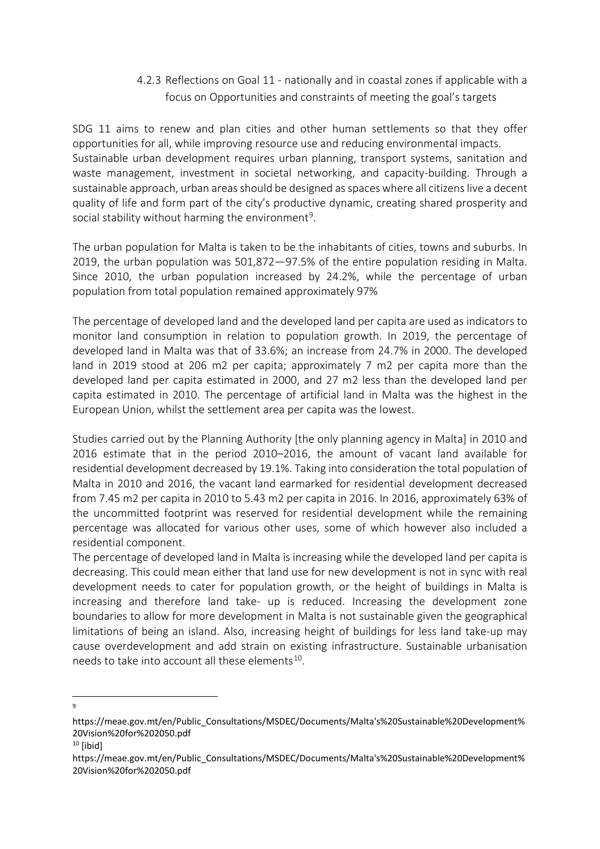### 4.2.3 Reflections on Goal 11 - nationally and in coastal zones if applicable with a focus on Opportunities and constraints of meeting the goal's targets

SDG 11 aims to renew and plan cities and other human settlements so that they offer opportunities for all, while improving resource use and reducing environmental impacts. Sustainable urban development requires urban planning, transport systems, sanitation and waste management, investment in societal networking, and capacity-building. Through a sustainable approach, urban areas should be designed as spaces where all citizens live a decent quality of life and form part of the city's productive dynamic, creating shared prosperity and social stability without harming the environment<sup>9</sup>.

The urban population for Malta is taken to be the inhabitants of cities, towns and suburbs. In 2019, the urban population was 501,872—97.5% of the entire population residing in Malta. Since 2010, the urban population increased by 24.2%, while the percentage of urban population from total population remained approximately 97%

The percentage of developed land and the developed land per capita are used as indicators to monitor land consumption in relation to population growth. In 2019, the percentage of developed land in Malta was that of 33.6%; an increase from 24.7% in 2000. The developed land in 2019 stood at 206 m2 per capita; approximately 7 m2 per capita more than the developed land per capita estimated in 2000, and 27 m2 less than the developed land per capita estimated in 2010. The percentage of artificial land in Malta was the highest in the European Union, whilst the settlement area per capita was the lowest.

Studies carried out by the Planning Authority [the only planning agency in Malta] in 2010 and 2016 estimate that in the period 2010–2016, the amount of vacant land available for residential development decreased by 19.1%. Taking into consideration the total population of Malta in 2010 and 2016, the vacant land earmarked for residential development decreased from 7.45 m2 per capita in 2010 to 5.43 m2 per capita in 2016. In 2016, approximately 63% of the uncommitted footprint was reserved for residential development while the remaining percentage was allocated for various other uses, some of which however also included a residential component.

The percentage of developed land in Malta is increasing while the developed land per capita is decreasing. This could mean either that land use for new development is not in sync with real development needs to cater for population growth, or the height of buildings in Malta is increasing and therefore land take- up is reduced. Increasing the development zone boundaries to allow for more development in Malta is not sustainable given the geographical limitations of being an island. Also, increasing height of buildings for less land take-up may cause overdevelopment and add strain on existing infrastructure. Sustainable urbanisation needs to take into account all these elements<sup>10</sup>.

 $\alpha$ 

<span id="page-19-0"></span>https://meae.gov.mt/en/Public\_Consultations/MSDEC/Documents/Malta's%20Sustainable%20Development% 20Vision%20for%202050.pdf

<span id="page-19-1"></span> $10$  [ibid]

https://meae.gov.mt/en/Public\_Consultations/MSDEC/Documents/Malta's%20Sustainable%20Development% 20Vision%20for%202050.pdf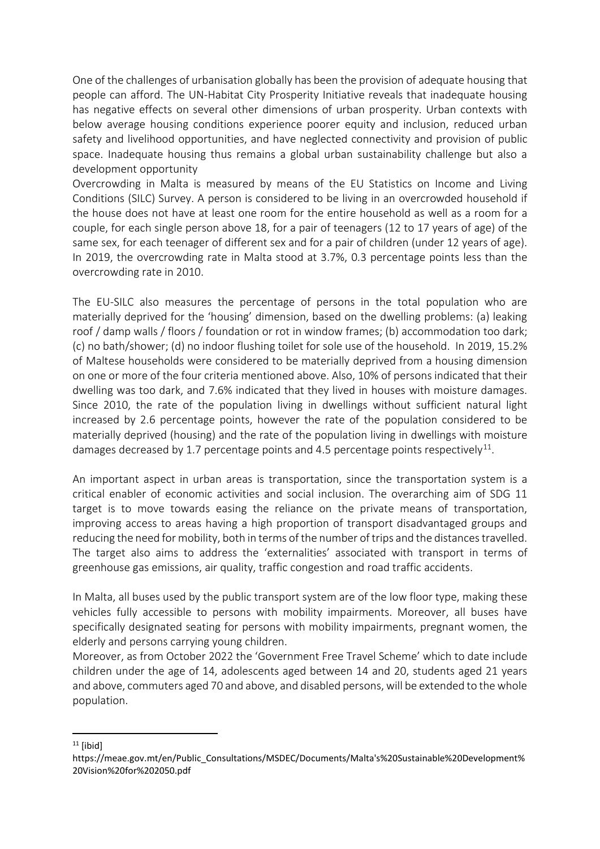One of the challenges of urbanisation globally has been the provision of adequate housing that people can afford. The UN-Habitat City Prosperity Initiative reveals that inadequate housing has negative effects on several other dimensions of urban prosperity. Urban contexts with below average housing conditions experience poorer equity and inclusion, reduced urban safety and livelihood opportunities, and have neglected connectivity and provision of public space. Inadequate housing thus remains a global urban sustainability challenge but also a development opportunity

Overcrowding in Malta is measured by means of the EU Statistics on Income and Living Conditions (SILC) Survey. A person is considered to be living in an overcrowded household if the house does not have at least one room for the entire household as well as a room for a couple, for each single person above 18, for a pair of teenagers (12 to 17 years of age) of the same sex, for each teenager of different sex and for a pair of children (under 12 years of age). In 2019, the overcrowding rate in Malta stood at 3.7%, 0.3 percentage points less than the overcrowding rate in 2010.

The EU-SILC also measures the percentage of persons in the total population who are materially deprived for the 'housing' dimension, based on the dwelling problems: (a) leaking roof / damp walls / floors / foundation or rot in window frames; (b) accommodation too dark; (c) no bath/shower; (d) no indoor flushing toilet for sole use of the household. In 2019, 15.2% of Maltese households were considered to be materially deprived from a housing dimension on one or more of the four criteria mentioned above. Also, 10% of persons indicated that their dwelling was too dark, and 7.6% indicated that they lived in houses with moisture damages. Since 2010, the rate of the population living in dwellings without sufficient natural light increased by 2.6 percentage points, however the rate of the population considered to be materially deprived (housing) and the rate of the population living in dwellings with moisture damages decreased by 1.7 percentage points and 4.5 percentage points respectively<sup>11</sup>.

An important aspect in urban areas is transportation, since the transportation system is a critical enabler of economic activities and social inclusion. The overarching aim of SDG 11 target is to move towards easing the reliance on the private means of transportation, improving access to areas having a high proportion of transport disadvantaged groups and reducing the need for mobility, both in terms of the number of trips and the distances travelled. The target also aims to address the 'externalities' associated with transport in terms of greenhouse gas emissions, air quality, traffic congestion and road traffic accidents.

In Malta, all buses used by the public transport system are of the low floor type, making these vehicles fully accessible to persons with mobility impairments. Moreover, all buses have specifically designated seating for persons with mobility impairments, pregnant women, the elderly and persons carrying young children.

Moreover, as from October 2022 the 'Government Free Travel Scheme' which to date include children under the age of 14, adolescents aged between 14 and 20, students aged 21 years and above, commuters aged 70 and above, and disabled persons, will be extended to the whole population.

<span id="page-20-0"></span> $11$  [ibid]

https://meae.gov.mt/en/Public\_Consultations/MSDEC/Documents/Malta's%20Sustainable%20Development% 20Vision%20for%202050.pdf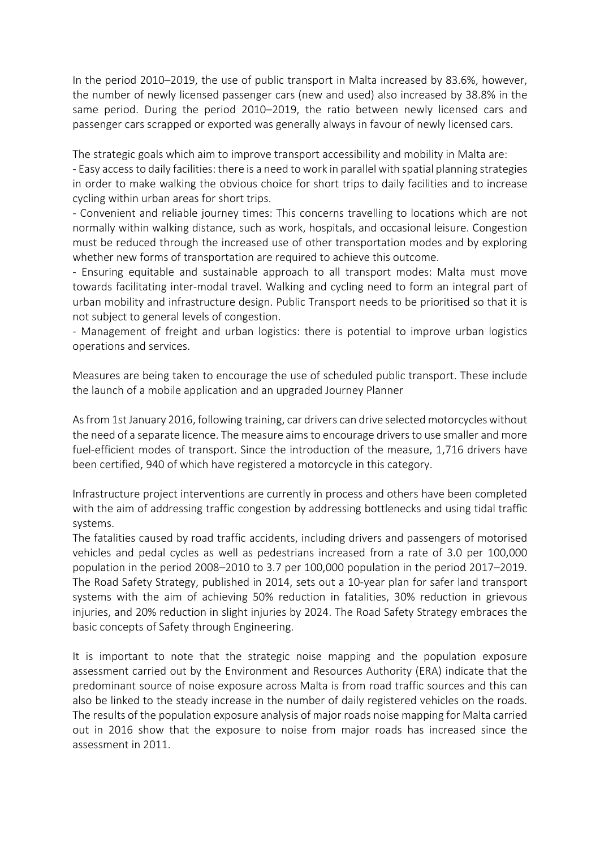In the period 2010–2019, the use of public transport in Malta increased by 83.6%, however, the number of newly licensed passenger cars (new and used) also increased by 38.8% in the same period. During the period 2010–2019, the ratio between newly licensed cars and passenger cars scrapped or exported was generally always in favour of newly licensed cars.

The strategic goals which aim to improve transport accessibility and mobility in Malta are: - Easy access to daily facilities: there is a need to work in parallel with spatial planning strategies in order to make walking the obvious choice for short trips to daily facilities and to increase cycling within urban areas for short trips.

- Convenient and reliable journey times: This concerns travelling to locations which are not normally within walking distance, such as work, hospitals, and occasional leisure. Congestion must be reduced through the increased use of other transportation modes and by exploring whether new forms of transportation are required to achieve this outcome.

- Ensuring equitable and sustainable approach to all transport modes: Malta must move towards facilitating inter-modal travel. Walking and cycling need to form an integral part of urban mobility and infrastructure design. Public Transport needs to be prioritised so that it is not subject to general levels of congestion.

- Management of freight and urban logistics: there is potential to improve urban logistics operations and services.

Measures are being taken to encourage the use of scheduled public transport. These include the launch of a mobile application and an upgraded Journey Planner

As from 1st January 2016, following training, car drivers can drive selected motorcycles without the need of a separate licence. The measure aims to encourage drivers to use smaller and more fuel-efficient modes of transport. Since the introduction of the measure, 1,716 drivers have been certified, 940 of which have registered a motorcycle in this category.

Infrastructure project interventions are currently in process and others have been completed with the aim of addressing traffic congestion by addressing bottlenecks and using tidal traffic systems.

The fatalities caused by road traffic accidents, including drivers and passengers of motorised vehicles and pedal cycles as well as pedestrians increased from a rate of 3.0 per 100,000 population in the period 2008–2010 to 3.7 per 100,000 population in the period 2017–2019. The Road Safety Strategy, published in 2014, sets out a 10-year plan for safer land transport systems with the aim of achieving 50% reduction in fatalities, 30% reduction in grievous injuries, and 20% reduction in slight injuries by 2024. The Road Safety Strategy embraces the basic concepts of Safety through Engineering.

It is important to note that the strategic noise mapping and the population exposure assessment carried out by the Environment and Resources Authority (ERA) indicate that the predominant source of noise exposure across Malta is from road traffic sources and this can also be linked to the steady increase in the number of daily registered vehicles on the roads. The results of the population exposure analysis of major roads noise mapping for Malta carried out in 2016 show that the exposure to noise from major roads has increased since the assessment in 2011.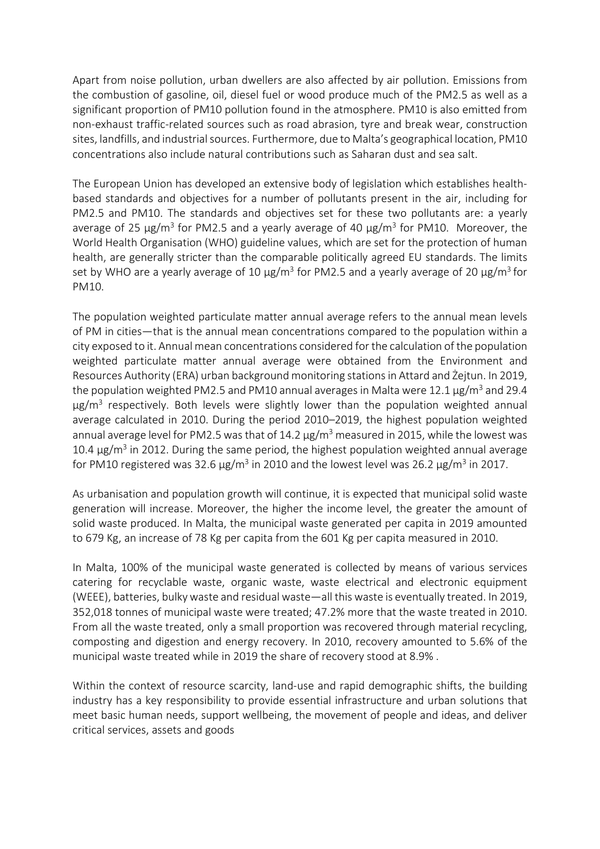Apart from noise pollution, urban dwellers are also affected by air pollution. Emissions from the combustion of gasoline, oil, diesel fuel or wood produce much of the PM2.5 as well as a significant proportion of PM10 pollution found in the atmosphere. PM10 is also emitted from non-exhaust traffic-related sources such as road abrasion, tyre and break wear, construction sites, landfills, and industrial sources. Furthermore, due to Malta's geographical location, PM10 concentrations also include natural contributions such as Saharan dust and sea salt.

The European Union has developed an extensive body of legislation which establishes healthbased standards and objectives for a number of pollutants present in the air, including for PM2.5 and PM10. The standards and objectives set for these two pollutants are: a yearly average of 25  $\mu$ g/m<sup>3</sup> for PM2.5 and a yearly average of 40  $\mu$ g/m<sup>3</sup> for PM10. Moreover, the World Health Organisation (WHO) guideline values, which are set for the protection of human health, are generally stricter than the comparable politically agreed EU standards. The limits set by WHO are a yearly average of 10  $\mu$ g/m<sup>3</sup> for PM2.5 and a yearly average of 20  $\mu$ g/m<sup>3</sup> for PM10.

The population weighted particulate matter annual average refers to the annual mean levels of PM in cities—that is the annual mean concentrations compared to the population within a city exposed to it. Annual mean concentrations considered for the calculation of the population weighted particulate matter annual average were obtained from the Environment and Resources Authority (ERA) urban background monitoring stations in Attard and Żejtun. In 2019, the population weighted PM2.5 and PM10 annual averages in Malta were 12.1  $\mu$ g/m<sup>3</sup> and 29.4  $\mu$ g/m<sup>3</sup> respectively. Both levels were slightly lower than the population weighted annual average calculated in 2010. During the period 2010–2019, the highest population weighted annual average level for PM2.5 was that of 14.2  $\mu$ g/m<sup>3</sup> measured in 2015, while the lowest was 10.4  $\mu$ g/m<sup>3</sup> in 2012. During the same period, the highest population weighted annual average for PM10 registered was 32.6 μg/m<sup>3</sup> in 2010 and the lowest level was 26.2 μg/m<sup>3</sup> in 2017.

As urbanisation and population growth will continue, it is expected that municipal solid waste generation will increase. Moreover, the higher the income level, the greater the amount of solid waste produced. In Malta, the municipal waste generated per capita in 2019 amounted to 679 Kg, an increase of 78 Kg per capita from the 601 Kg per capita measured in 2010.

In Malta, 100% of the municipal waste generated is collected by means of various services catering for recyclable waste, organic waste, waste electrical and electronic equipment (WEEE), batteries, bulky waste and residual waste—all this waste is eventually treated. In 2019, 352,018 tonnes of municipal waste were treated; 47.2% more that the waste treated in 2010. From all the waste treated, only a small proportion was recovered through material recycling, composting and digestion and energy recovery. In 2010, recovery amounted to 5.6% of the municipal waste treated while in 2019 the share of recovery stood at 8.9% .

Within the context of resource scarcity, land-use and rapid demographic shifts, the building industry has a key responsibility to provide essential infrastructure and urban solutions that meet basic human needs, support wellbeing, the movement of people and ideas, and deliver critical services, assets and goods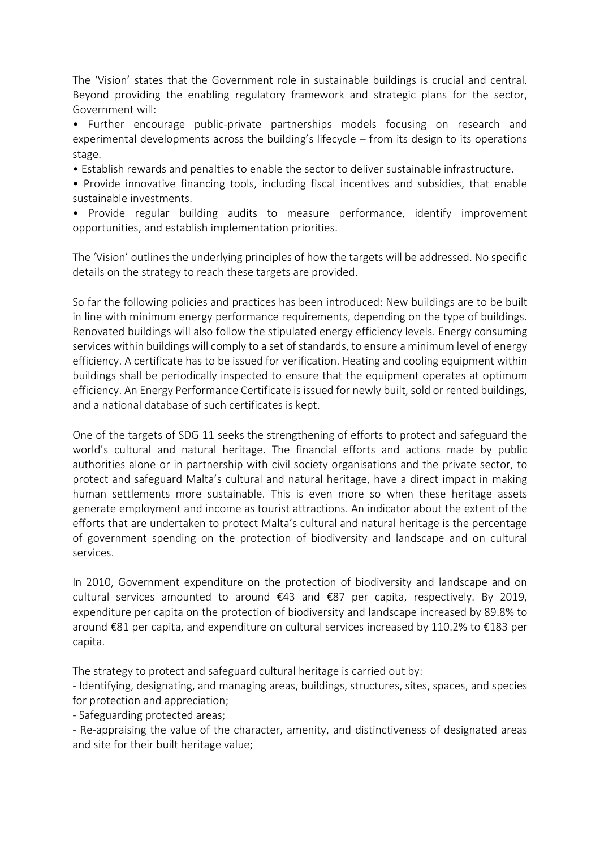The 'Vision' states that the Government role in sustainable buildings is crucial and central. Beyond providing the enabling regulatory framework and strategic plans for the sector, Government will:

• Further encourage public-private partnerships models focusing on research and experimental developments across the building's lifecycle – from its design to its operations stage.

• Establish rewards and penalties to enable the sector to deliver sustainable infrastructure.

• Provide innovative financing tools, including fiscal incentives and subsidies, that enable sustainable investments.

• Provide regular building audits to measure performance, identify improvement opportunities, and establish implementation priorities.

The 'Vision' outlines the underlying principles of how the targets will be addressed. No specific details on the strategy to reach these targets are provided.

So far the following policies and practices has been introduced: New buildings are to be built in line with minimum energy performance requirements, depending on the type of buildings. Renovated buildings will also follow the stipulated energy efficiency levels. Energy consuming services within buildings will comply to a set of standards, to ensure a minimum level of energy efficiency. A certificate has to be issued for verification. Heating and cooling equipment within buildings shall be periodically inspected to ensure that the equipment operates at optimum efficiency. An Energy Performance Certificate is issued for newly built, sold or rented buildings, and a national database of such certificates is kept.

One of the targets of SDG 11 seeks the strengthening of efforts to protect and safeguard the world's cultural and natural heritage. The financial efforts and actions made by public authorities alone or in partnership with civil society organisations and the private sector, to protect and safeguard Malta's cultural and natural heritage, have a direct impact in making human settlements more sustainable. This is even more so when these heritage assets generate employment and income as tourist attractions. An indicator about the extent of the efforts that are undertaken to protect Malta's cultural and natural heritage is the percentage of government spending on the protection of biodiversity and landscape and on cultural services.

In 2010, Government expenditure on the protection of biodiversity and landscape and on cultural services amounted to around €43 and €87 per capita, respectively. By 2019, expenditure per capita on the protection of biodiversity and landscape increased by 89.8% to around €81 per capita, and expenditure on cultural services increased by 110.2% to €183 per capita.

The strategy to protect and safeguard cultural heritage is carried out by:

- Identifying, designating, and managing areas, buildings, structures, sites, spaces, and species for protection and appreciation;

- Safeguarding protected areas;

- Re-appraising the value of the character, amenity, and distinctiveness of designated areas and site for their built heritage value;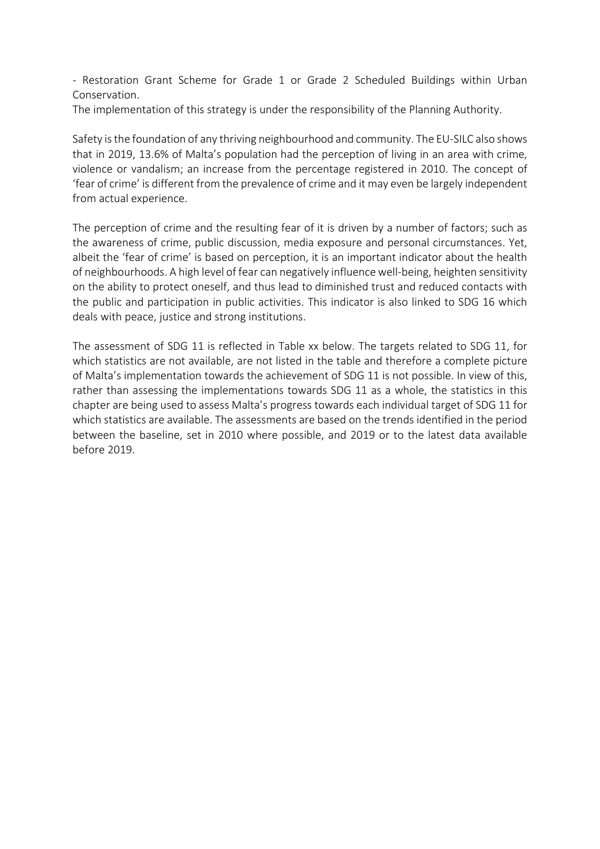- Restoration Grant Scheme for Grade 1 or Grade 2 Scheduled Buildings within Urban Conservation.

The implementation of this strategy is under the responsibility of the Planning Authority.

Safety is the foundation of any thriving neighbourhood and community. The EU-SILC also shows that in 2019, 13.6% of Malta's population had the perception of living in an area with crime, violence or vandalism; an increase from the percentage registered in 2010. The concept of 'fear of crime' is different from the prevalence of crime and it may even be largely independent from actual experience.

The perception of crime and the resulting fear of it is driven by a number of factors; such as the awareness of crime, public discussion, media exposure and personal circumstances. Yet, albeit the 'fear of crime' is based on perception, it is an important indicator about the health of neighbourhoods. A high level of fear can negatively influence well-being, heighten sensitivity on the ability to protect oneself, and thus lead to diminished trust and reduced contacts with the public and participation in public activities. This indicator is also linked to SDG 16 which deals with peace, justice and strong institutions.

The assessment of SDG 11 is reflected in Table xx below. The targets related to SDG 11, for which statistics are not available, are not listed in the table and therefore a complete picture of Malta's implementation towards the achievement of SDG 11 is not possible. In view of this, rather than assessing the implementations towards SDG 11 as a whole, the statistics in this chapter are being used to assess Malta's progress towards each individual target of SDG 11 for which statistics are available. The assessments are based on the trends identified in the period between the baseline, set in 2010 where possible, and 2019 or to the latest data available before 2019.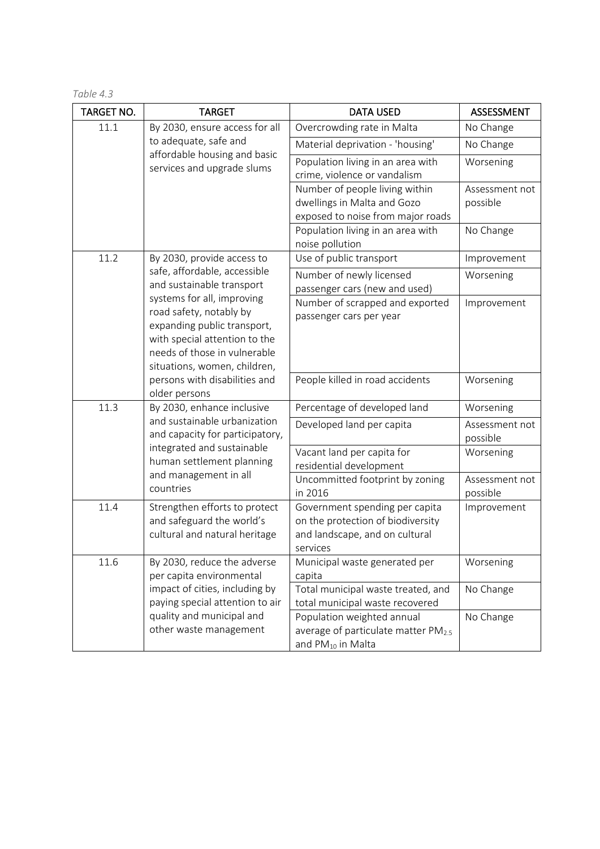*Table 4.3*

| TARGET NO. | <b>TARGET</b>                                                                                                                                                                         | <b>DATA USED</b>                                                                                                  | ASSESSMENT                 |  |
|------------|---------------------------------------------------------------------------------------------------------------------------------------------------------------------------------------|-------------------------------------------------------------------------------------------------------------------|----------------------------|--|
| 11.1       | By 2030, ensure access for all<br>to adequate, safe and<br>affordable housing and basic<br>services and upgrade slums                                                                 | Overcrowding rate in Malta                                                                                        | No Change                  |  |
|            |                                                                                                                                                                                       | Material deprivation - 'housing'                                                                                  | No Change                  |  |
|            |                                                                                                                                                                                       | Population living in an area with<br>crime, violence or vandalism                                                 | Worsening                  |  |
|            |                                                                                                                                                                                       | Number of people living within<br>dwellings in Malta and Gozo<br>exposed to noise from major roads                | Assessment not<br>possible |  |
|            |                                                                                                                                                                                       | Population living in an area with<br>noise pollution                                                              | No Change                  |  |
| 11.2       | By 2030, provide access to                                                                                                                                                            | Use of public transport                                                                                           | Improvement                |  |
|            | safe, affordable, accessible<br>and sustainable transport                                                                                                                             | Number of newly licensed<br>passenger cars (new and used)                                                         | Worsening                  |  |
|            | systems for all, improving<br>road safety, notably by<br>expanding public transport,<br>with special attention to the<br>needs of those in vulnerable<br>situations, women, children, | Number of scrapped and exported<br>passenger cars per year                                                        | Improvement                |  |
|            | persons with disabilities and<br>older persons                                                                                                                                        | People killed in road accidents                                                                                   | Worsening                  |  |
| 11.3       | By 2030, enhance inclusive                                                                                                                                                            | Percentage of developed land                                                                                      | Worsening                  |  |
|            | and sustainable urbanization<br>and capacity for participatory,                                                                                                                       | Developed land per capita                                                                                         | Assessment not<br>possible |  |
|            | integrated and sustainable<br>human settlement planning                                                                                                                               | Vacant land per capita for<br>residential development                                                             | Worsening                  |  |
|            | and management in all<br>countries                                                                                                                                                    | Uncommitted footprint by zoning<br>in 2016                                                                        | Assessment not<br>possible |  |
| 11.4       | Strengthen efforts to protect<br>and safeguard the world's<br>cultural and natural heritage                                                                                           | Government spending per capita<br>on the protection of biodiversity<br>and landscape, and on cultural<br>services | Improvement                |  |
| 11.6       | By 2030, reduce the adverse<br>per capita environmental                                                                                                                               | Municipal waste generated per<br>capita                                                                           | Worsening                  |  |
|            | impact of cities, including by<br>paying special attention to air                                                                                                                     | Total municipal waste treated, and<br>total municipal waste recovered                                             | No Change                  |  |
|            | quality and municipal and<br>other waste management                                                                                                                                   | Population weighted annual<br>average of particulate matter PM <sub>2.5</sub><br>and PM <sub>10</sub> in Malta    | No Change                  |  |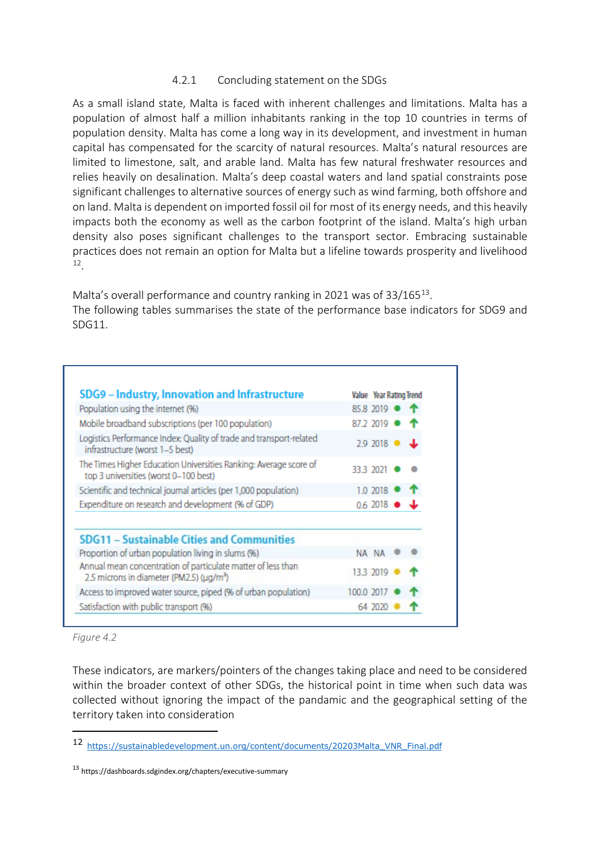#### 4.2.1 Concluding statement on the SDGs

As a small island state, Malta is faced with inherent challenges and limitations. Malta has a population of almost half a million inhabitants ranking in the top 10 countries in terms of population density. Malta has come a long way in its development, and investment in human capital has compensated for the scarcity of natural resources. Malta's natural resources are limited to limestone, salt, and arable land. Malta has few natural freshwater resources and relies heavily on desalination. Malta's deep coastal waters and land spatial constraints pose significant challenges to alternative sources of energy such as wind farming, both offshore and on land. Malta is dependent on imported fossil oil for most of its energy needs, and this heavily impacts both the economy as well as the carbon footprint of the island. Malta's high urban density also poses significant challenges to the transport sector. Embracing sustainable practices does not remain an option for Malta but a lifeline towards prosperity and livelihood [12.](#page-26-0)

Malta's overall performance and country ranking in 2021 was of 33/165<sup>[13](#page-26-1)</sup>. The following tables summarises the state of the performance base indicators for SDG9 and SDG11.

| SDG9 - Industry, Innovation and Infrastructure                                                                       | Value Year Rating Trend |  |
|----------------------------------------------------------------------------------------------------------------------|-------------------------|--|
| Population using the internet (%)                                                                                    | 85.8 2019 (             |  |
| Mobile broadband subscriptions (per 100 population)                                                                  | 87.2 2019 (             |  |
| Logistics Performance Index: Quality of trade and transport-related<br>infrastructure (worst 1-5 best)               | 2.9 2018 •              |  |
| The Times Higher Education Universities Ranking: Average score of<br>top 3 universities (worst 0-100 best)           | 33.3.202                |  |
| Scientific and technical journal articles (per 1,000 population)                                                     | 1.0 2018                |  |
| Expenditure on research and development (% of GDP)                                                                   | 0.6 2018                |  |
| <b>SDG11 - Sustainable Cities and Communities</b>                                                                    |                         |  |
| Proportion of urban population living in slums (%)                                                                   | NA NA                   |  |
| Annual mean concentration of particulate matter of less than<br>2.5 microns in diameter (PM2.5) (µg/m <sup>3</sup> ) | 133 2019                |  |
| Access to improved water source, piped (% of urban population)                                                       | 100.0 2017              |  |
| Satisfaction with public transport (%)                                                                               | 64 2020                 |  |



These indicators, are markers/pointers of the changes taking place and need to be considered within the broader context of other SDGs, the historical point in time when such data was collected without ignoring the impact of the pandamic and the geographical setting of the territory taken into consideration

<span id="page-26-0"></span><sup>12</sup> [https://sustainabledevelopment.un.org/content/documents/20203Malta\\_VNR\\_Final.pdf](https://sustainabledevelopment.un.org/content/documents/20203Malta_VNR_Final.pdf)

<span id="page-26-1"></span><sup>13</sup> https://dashboards.sdgindex.org/chapters/executive-summary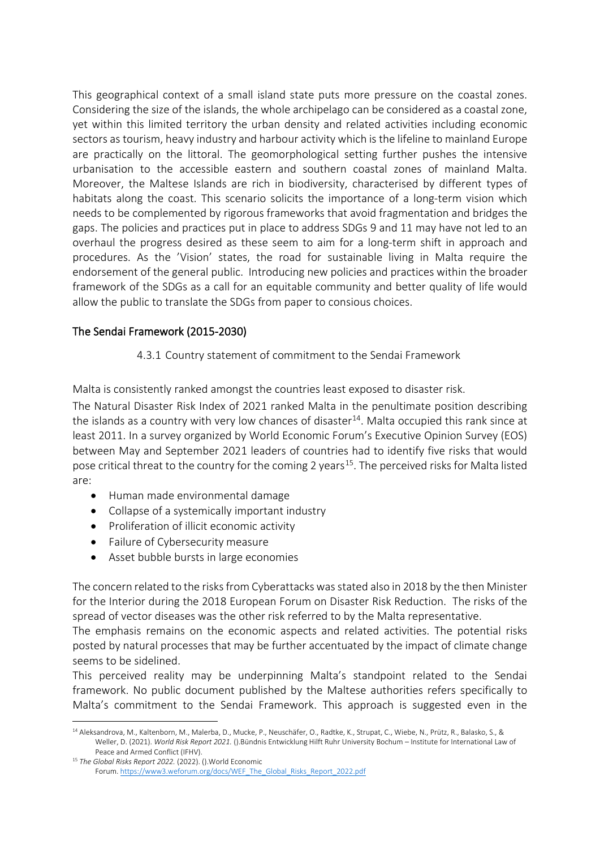This geographical context of a small island state puts more pressure on the coastal zones. Considering the size of the islands, the whole archipelago can be considered as a coastal zone, yet within this limited territory the urban density and related activities including economic sectors as tourism, heavy industry and harbour activity which is the lifeline to mainland Europe are practically on the littoral. The geomorphological setting further pushes the intensive urbanisation to the accessible eastern and southern coastal zones of mainland Malta. Moreover, the Maltese Islands are rich in biodiversity, characterised by different types of habitats along the coast. This scenario solicits the importance of a long-term vision which needs to be complemented by rigorous frameworks that avoid fragmentation and bridges the gaps. The policies and practices put in place to address SDGs 9 and 11 may have not led to an overhaul the progress desired as these seem to aim for a long-term shift in approach and procedures. As the 'Vision' states, the road for sustainable living in Malta require the endorsement of the general public. Introducing new policies and practices within the broader framework of the SDGs as a call for an equitable community and better quality of life would allow the public to translate the SDGs from paper to consious choices.

#### The Sendai Framework (2015-2030)

#### 4.3.1 Country statement of commitment to the Sendai Framework

Malta is consistently ranked amongst the countries least exposed to disaster risk.

The Natural Disaster Risk Index of 2021 ranked Malta in the penultimate position describing the islands as a country with very low chances of disaster $14$ . Malta occupied this rank since at least 2011. In a survey organized by World Economic Forum's Executive Opinion Survey (EOS) between May and September 2021 leaders of countries had to identify five risks that would pose critical threat to the country for the coming 2 years<sup>15</sup>. The perceived risks for Malta listed are:

- Human made environmental damage
- Collapse of a systemically important industry
- Proliferation of illicit economic activity
- Failure of Cybersecurity measure
- Asset bubble bursts in large economies

The concern related to the risks from Cyberattacks was stated also in 2018 by the then Minister for the Interior during the 2018 European Forum on Disaster Risk Reduction. The risks of the spread of vector diseases was the other risk referred to by the Malta representative.

The emphasis remains on the economic aspects and related activities. The potential risks posted by natural processes that may be further accentuated by the impact of climate change seems to be sidelined.

This perceived reality may be underpinning Malta's standpoint related to the Sendai framework. No public document published by the Maltese authorities refers specifically to Malta's commitment to the Sendai Framework. This approach is suggested even in the

<span id="page-27-0"></span><sup>14</sup> Aleksandrova, M., Kaltenborn, M., Malerba, D., Mucke, P., Neuschäfer, O., Radtke, K., Strupat, C., Wiebe, N., Prütz, R., Balasko, S., & Weller, D. (2021). *World Risk Report 2021.* ().Bündnis Entwicklung Hilft Ruhr University Bochum – Institute for International Law of Peace and Armed Conflict (IFHV).

<span id="page-27-1"></span><sup>15</sup> *The Global Risks Report 2022.* (2022). ().World Economic Forum. [https://www3.weforum.org/docs/WEF\\_The\\_Global\\_Risks\\_Report\\_2022.pdf](https://www3.weforum.org/docs/WEF_The_Global_Risks_Report_2022.pdf)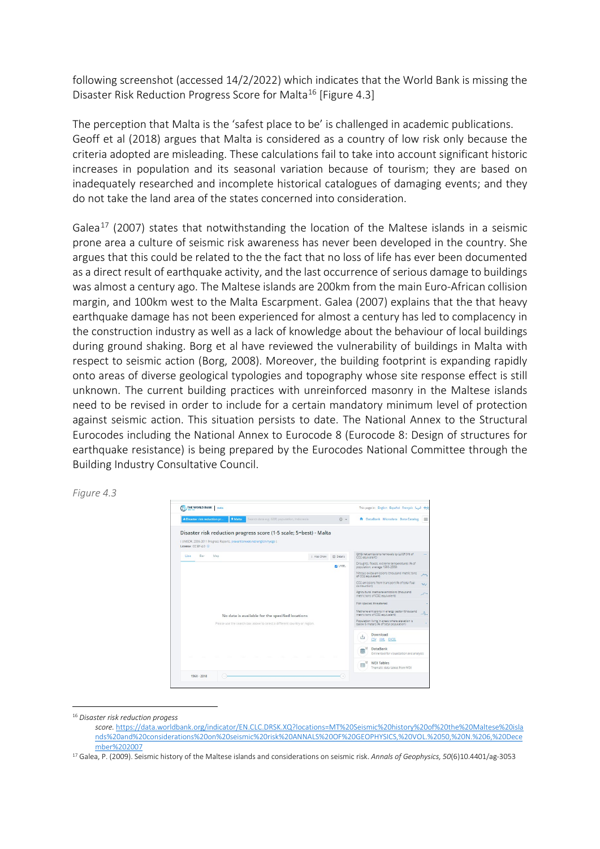following screenshot (accessed 14/2/2022) which indicates that the World Bank is missing the Disaster Risk Reduction Progress Score for Malta[16](#page-28-0) [Figure 4.3]

The perception that Malta is the 'safest place to be' is challenged in academic publications. Geoff et al (2018) argues that Malta is considered as a country of low risk only because the criteria adopted are misleading. These calculations fail to take into account significant historic increases in population and its seasonal variation because of tourism; they are based on inadequately researched and incomplete historical catalogues of damaging events; and they do not take the land area of the states concerned into consideration.

Galea<sup>[17](#page-28-1)</sup> (2007) states that notwithstanding the location of the Maltese islands in a seismic prone area a culture of seismic risk awareness has never been developed in the country. She argues that this could be related to the the fact that no loss of life has ever been documented as a direct result of earthquake activity, and the last occurrence of serious damage to buildings was almost a century ago. The Maltese islands are 200km from the main Euro-African collision margin, and 100km west to the Malta Escarpment. Galea (2007) explains that the that heavy earthquake damage has not been experienced for almost a century has led to complacency in the construction industry as well as a lack of knowledge about the behaviour of local buildings during ground shaking. Borg et al have reviewed the vulnerability of buildings in Malta with respect to seismic action (Borg, 2008). Moreover, the building footprint is expanding rapidly onto areas of diverse geological typologies and topography whose site response effect is still unknown. The current building practices with unreinforced masonry in the Maltese islands need to be revised in order to include for a certain mandatory minimum level of protection against seismic action. This situation persists to date. The National Annex to the Structural Eurocodes including the National Annex to Eurocode 8 (Eurocode 8: Design of structures for earthquake resistance) is being prepared by the Eurocodes National Committee through the Building Industry Consultative Council.





<span id="page-28-0"></span><sup>16</sup> *Disaster risk reduction progess* 

*score.* [https://data.worldbank.org/indicator/EN.CLC.DRSK.XQ?locations=MT%20Seismic%20history%20of%20the%20Maltese%20isla](https://data.worldbank.org/indicator/EN.CLC.DRSK.XQ?locations=MT%20Seismic%20history%20of%20the%20Maltese%20islands%20and%20considerations%20on%20seismic%20risk%20ANNALS%20OF%20GEOPHYSICS,%20VOL.%2050,%20N.%206,%20December%202007) [nds%20and%20considerations%20on%20seismic%20risk%20ANNALS%20OF%20GEOPHYSICS,%20VOL.%2050,%20N.%206,%20Dece](https://data.worldbank.org/indicator/EN.CLC.DRSK.XQ?locations=MT%20Seismic%20history%20of%20the%20Maltese%20islands%20and%20considerations%20on%20seismic%20risk%20ANNALS%20OF%20GEOPHYSICS,%20VOL.%2050,%20N.%206,%20December%202007) [mber%202007](https://data.worldbank.org/indicator/EN.CLC.DRSK.XQ?locations=MT%20Seismic%20history%20of%20the%20Maltese%20islands%20and%20considerations%20on%20seismic%20risk%20ANNALS%20OF%20GEOPHYSICS,%20VOL.%2050,%20N.%206,%20December%202007)

<span id="page-28-1"></span><sup>17</sup> Galea, P. (2009). Seismic history of the Maltese islands and considerations on seismic risk. *Annals of Geophysics, 50*(6)10.4401/ag-3053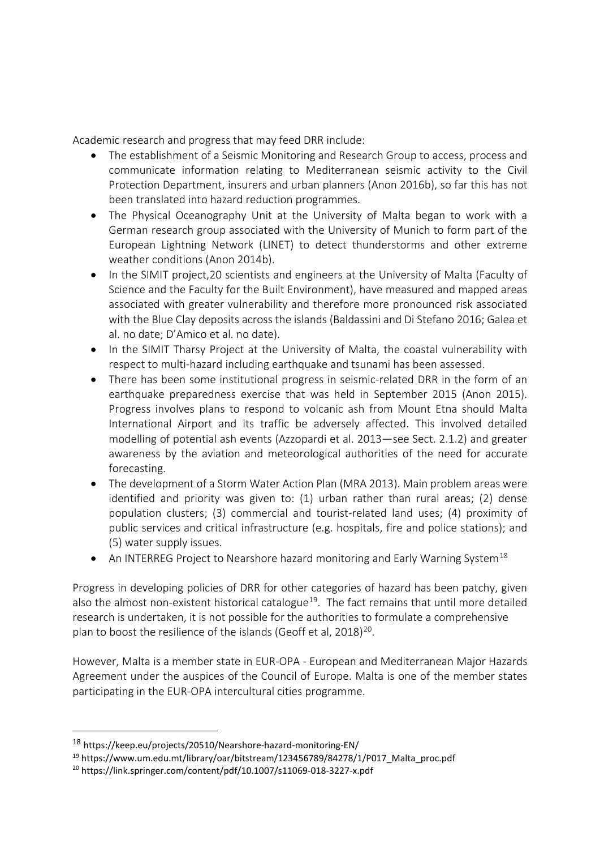Academic research and progress that may feed DRR include:

- The establishment of a Seismic Monitoring and Research Group to access, process and communicate information relating to Mediterranean seismic activity to the Civil Protection Department, insurers and urban planners (Anon 2016b), so far this has not been translated into hazard reduction programmes.
- The Physical Oceanography Unit at the University of Malta began to work with a German research group associated with the University of Munich to form part of the European Lightning Network (LINET) to detect thunderstorms and other extreme weather conditions (Anon 2014b).
- In the SIMIT project,20 scientists and engineers at the University of Malta (Faculty of Science and the Faculty for the Built Environment), have measured and mapped areas associated with greater vulnerability and therefore more pronounced risk associated with the Blue Clay deposits across the islands (Baldassini and Di Stefano 2016; Galea et al. no date; D'Amico et al. no date).
- In the SIMIT Tharsy Project at the University of Malta, the coastal vulnerability with respect to multi-hazard including earthquake and tsunami has been assessed.
- There has been some institutional progress in seismic-related DRR in the form of an earthquake preparedness exercise that was held in September 2015 (Anon 2015). Progress involves plans to respond to volcanic ash from Mount Etna should Malta International Airport and its traffic be adversely affected. This involved detailed modelling of potential ash events (Azzopardi et al. 2013—see Sect. 2.1.2) and greater awareness by the aviation and meteorological authorities of the need for accurate forecasting.
- The development of a Storm Water Action Plan (MRA 2013). Main problem areas were identified and priority was given to: (1) urban rather than rural areas; (2) dense population clusters; (3) commercial and tourist-related land uses; (4) proximity of public services and critical infrastructure (e.g. hospitals, fire and police stations); and (5) water supply issues.
- An INTERREG Project to Nearshore hazard monitoring and Early Warning System<sup>[18](#page-29-0)</sup>

Progress in developing policies of DRR for other categories of hazard has been patchy, given also the almost non-existent historical catalogue<sup>[19](#page-29-1)</sup>. The fact remains that until more detailed research is undertaken, it is not possible for the authorities to formulate a comprehensive plan to boost the resilience of the islands (Geoff et al,  $2018)^{20}$  $2018)^{20}$ .

However, Malta is a member state in EUR-OPA - European and Mediterranean Major Hazards Agreement under the auspices of the Council of Europe. Malta is one of the member states participating in the EUR-OPA intercultural cities programme.

<span id="page-29-0"></span><sup>18</sup> https://keep.eu/projects/20510/Nearshore-hazard-monitoring-EN/

<span id="page-29-1"></span><sup>19</sup> https://www.um.edu.mt/library/oar/bitstream/123456789/84278/1/P017\_Malta\_proc.pdf

<span id="page-29-2"></span><sup>20</sup> https://link.springer.com/content/pdf/10.1007/s11069-018-3227-x.pdf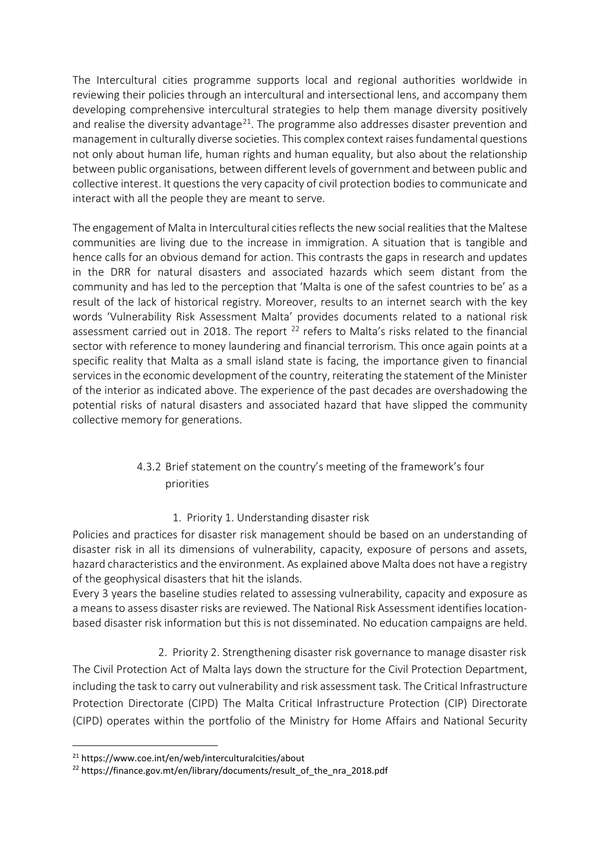The Intercultural cities programme supports local and regional authorities worldwide in reviewing their policies through an intercultural and intersectional lens, and accompany them developing comprehensive intercultural strategies to help them manage diversity positively and realise the diversity advantage<sup>[21](#page-30-0)</sup>. The programme also addresses disaster prevention and management in culturally diverse societies. This complex context raises fundamental questions not only about human life, human rights and human equality, but also about the relationship between public organisations, between different levels of government and between public and collective interest. It questions the very capacity of civil protection bodies to communicate and interact with all the people they are meant to serve.

The engagement of Malta in Intercultural cities reflects the new social realities that the Maltese communities are living due to the increase in immigration. A situation that is tangible and hence calls for an obvious demand for action. This contrasts the gaps in research and updates in the DRR for natural disasters and associated hazards which seem distant from the community and has led to the perception that 'Malta is one of the safest countries to be' as a result of the lack of historical registry. Moreover, results to an internet search with the key words 'Vulnerability Risk Assessment Malta' provides documents related to a national risk assessment carried out in 2018. The report  $^{22}$  $^{22}$  $^{22}$  refers to Malta's risks related to the financial sector with reference to money laundering and financial terrorism. This once again points at a specific reality that Malta as a small island state is facing, the importance given to financial services in the economic development of the country, reiterating the statement of the Minister of the interior as indicated above. The experience of the past decades are overshadowing the potential risks of natural disasters and associated hazard that have slipped the community collective memory for generations.

# 4.3.2 Brief statement on the country's meeting of the framework's four priorities

#### 1. Priority 1. Understanding disaster risk

Policies and practices for disaster risk management should be based on an understanding of disaster risk in all its dimensions of vulnerability, capacity, exposure of persons and assets, hazard characteristics and the environment. As explained above Malta does not have a registry of the geophysical disasters that hit the islands.

Every 3 years the baseline studies related to assessing vulnerability, capacity and exposure as a means to assess disaster risks are reviewed. The National Risk Assessment identifies locationbased disaster risk information but this is not disseminated. No education campaigns are held.

2. Priority 2. Strengthening disaster risk governance to manage disaster risk The Civil Protection Act of Malta lays down the structure for the Civil Protection Department, including the task to carry out vulnerability and risk assessment task. The Critical Infrastructure Protection Directorate (CIPD) The Malta Critical Infrastructure Protection (CIP) Directorate (CIPD) operates within the portfolio of the Ministry for Home Affairs and National Security

<span id="page-30-0"></span><sup>21</sup> https://www.coe.int/en/web/interculturalcities/about

<span id="page-30-1"></span><sup>&</sup>lt;sup>22</sup> https://finance.gov.mt/en/library/documents/result\_of\_the\_nra\_2018.pdf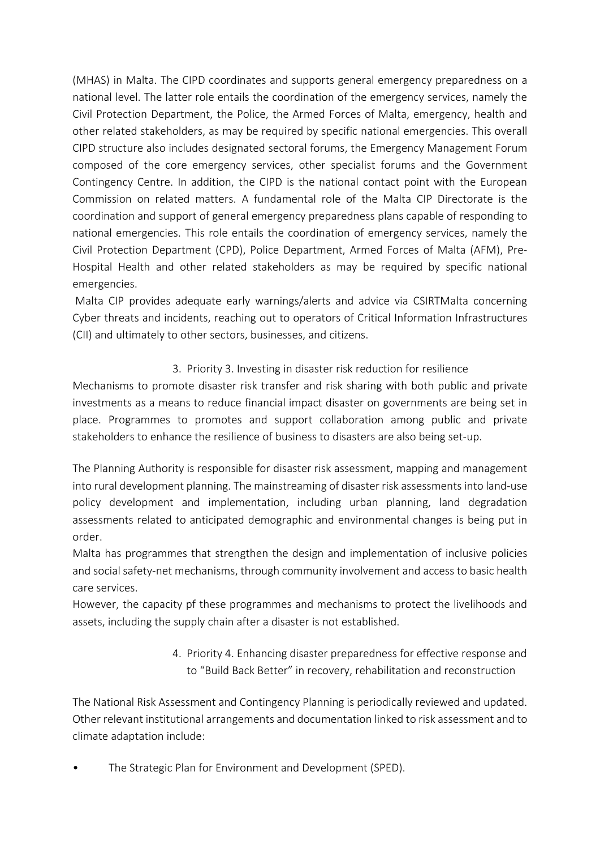(MHAS) in Malta. The CIPD coordinates and supports general emergency preparedness on a national level. The latter role entails the coordination of the emergency services, namely the Civil Protection Department, the Police, the Armed Forces of Malta, emergency, health and other related stakeholders, as may be required by specific national emergencies. This overall CIPD structure also includes designated sectoral forums, the Emergency Management Forum composed of the core emergency services, other specialist forums and the Government Contingency Centre. In addition, the CIPD is the national contact point with the European Commission on related matters. A fundamental role of the Malta CIP Directorate is the coordination and support of general emergency preparedness plans capable of responding to national emergencies. This role entails the coordination of emergency services, namely the Civil Protection Department (CPD), Police Department, Armed Forces of Malta (AFM), Pre-Hospital Health and other related stakeholders as may be required by specific national emergencies.

Malta CIP provides adequate early warnings/alerts and advice via CSIRTMalta concerning Cyber threats and incidents, reaching out to operators of Critical Information Infrastructures (CII) and ultimately to other sectors, businesses, and citizens.

#### 3. Priority 3. Investing in disaster risk reduction for resilience

Mechanisms to promote disaster risk transfer and risk sharing with both public and private investments as a means to reduce financial impact disaster on governments are being set in place. Programmes to promotes and support collaboration among public and private stakeholders to enhance the resilience of business to disasters are also being set-up.

The Planning Authority is responsible for disaster risk assessment, mapping and management into rural development planning. The mainstreaming of disaster risk assessments into land-use policy development and implementation, including urban planning, land degradation assessments related to anticipated demographic and environmental changes is being put in order.

Malta has programmes that strengthen the design and implementation of inclusive policies and social safety-net mechanisms, through community involvement and access to basic health care services.

However, the capacity pf these programmes and mechanisms to protect the livelihoods and assets, including the supply chain after a disaster is not established.

> 4. Priority 4. Enhancing disaster preparedness for effective response and to "Build Back Better" in recovery, rehabilitation and reconstruction

The National Risk Assessment and Contingency Planning is periodically reviewed and updated. Other relevant institutional arrangements and documentation linked to risk assessment and to climate adaptation include:

The Strategic Plan for Environment and Development (SPED).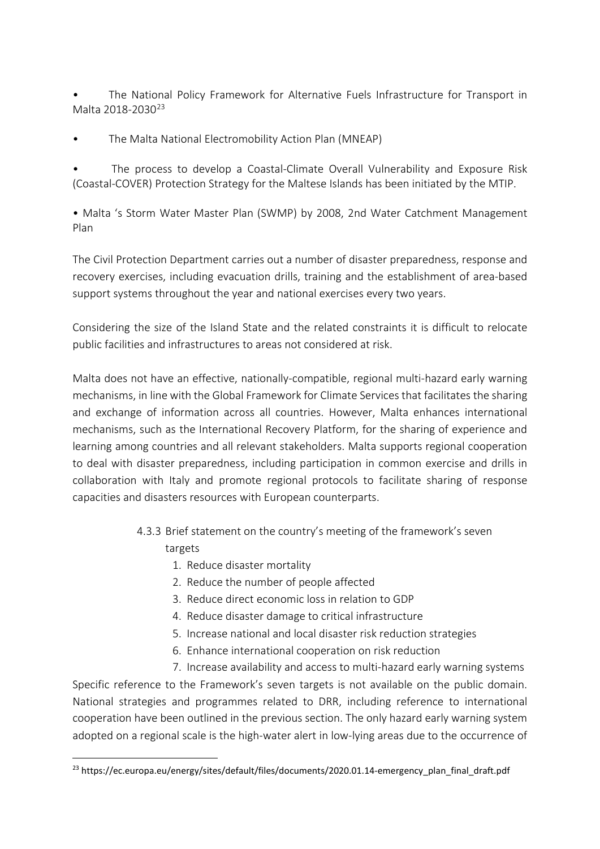• The National Policy Framework for Alternative Fuels Infrastructure for Transport in Malta 2018-2030[23](#page-32-0)

• The Malta National Electromobility Action Plan (MNEAP)

The process to develop a Coastal-Climate Overall Vulnerability and Exposure Risk (Coastal-COVER) Protection Strategy for the Maltese Islands has been initiated by the MTIP.

• Malta 's Storm Water Master Plan (SWMP) by 2008, 2nd Water Catchment Management Plan

The Civil Protection Department carries out a number of disaster preparedness, response and recovery exercises, including evacuation drills, training and the establishment of area-based support systems throughout the year and national exercises every two years.

Considering the size of the Island State and the related constraints it is difficult to relocate public facilities and infrastructures to areas not considered at risk.

Malta does not have an effective, nationally-compatible, regional multi-hazard early warning mechanisms, in line with the Global Framework for Climate Services that facilitates the sharing and exchange of information across all countries. However, Malta enhances international mechanisms, such as the International Recovery Platform, for the sharing of experience and learning among countries and all relevant stakeholders. Malta supports regional cooperation to deal with disaster preparedness, including participation in common exercise and drills in collaboration with Italy and promote regional protocols to facilitate sharing of response capacities and disasters resources with European counterparts.

- 4.3.3 Brief statement on the country's meeting of the framework's seven targets
	- 1. Reduce disaster mortality
	- 2. Reduce the number of people affected
	- 3. Reduce direct economic loss in relation to GDP
	- 4. Reduce disaster damage to critical infrastructure
	- 5. Increase national and local disaster risk reduction strategies
	- 6. Enhance international cooperation on risk reduction
	- 7. Increase availability and access to multi-hazard early warning systems

Specific reference to the Framework's seven targets is not available on the public domain. National strategies and programmes related to DRR, including reference to international cooperation have been outlined in the previous section. The only hazard early warning system adopted on a regional scale is the high-water alert in low-lying areas due to the occurrence of

<span id="page-32-0"></span><sup>&</sup>lt;sup>23</sup> https://ec.europa.eu/energy/sites/default/files/documents/2020.01.14-emergency\_plan\_final\_draft.pdf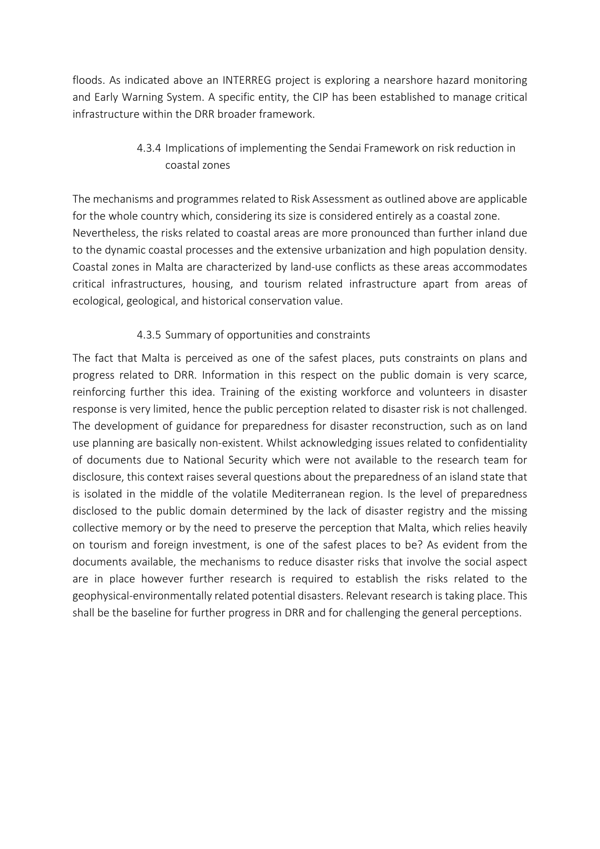floods. As indicated above an INTERREG project is exploring a nearshore hazard monitoring and Early Warning System. A specific entity, the CIP has been established to manage critical infrastructure within the DRR broader framework.

> 4.3.4 Implications of implementing the Sendai Framework on risk reduction in coastal zones

The mechanisms and programmes related to Risk Assessment as outlined above are applicable for the whole country which, considering its size is considered entirely as a coastal zone. Nevertheless, the risks related to coastal areas are more pronounced than further inland due to the dynamic coastal processes and the extensive urbanization and high population density. Coastal zones in Malta are characterized by land-use conflicts as these areas accommodates critical infrastructures, housing, and tourism related infrastructure apart from areas of ecological, geological, and historical conservation value.

#### 4.3.5 Summary of opportunities and constraints

The fact that Malta is perceived as one of the safest places, puts constraints on plans and progress related to DRR. Information in this respect on the public domain is very scarce, reinforcing further this idea. Training of the existing workforce and volunteers in disaster response is very limited, hence the public perception related to disaster risk is not challenged. The development of guidance for preparedness for disaster reconstruction, such as on land use planning are basically non-existent. Whilst acknowledging issues related to confidentiality of documents due to National Security which were not available to the research team for disclosure, this context raises several questions about the preparedness of an island state that is isolated in the middle of the volatile Mediterranean region. Is the level of preparedness disclosed to the public domain determined by the lack of disaster registry and the missing collective memory or by the need to preserve the perception that Malta, which relies heavily on tourism and foreign investment, is one of the safest places to be? As evident from the documents available, the mechanisms to reduce disaster risks that involve the social aspect are in place however further research is required to establish the risks related to the geophysical-environmentally related potential disasters. Relevant research is taking place. This shall be the baseline for further progress in DRR and for challenging the general perceptions.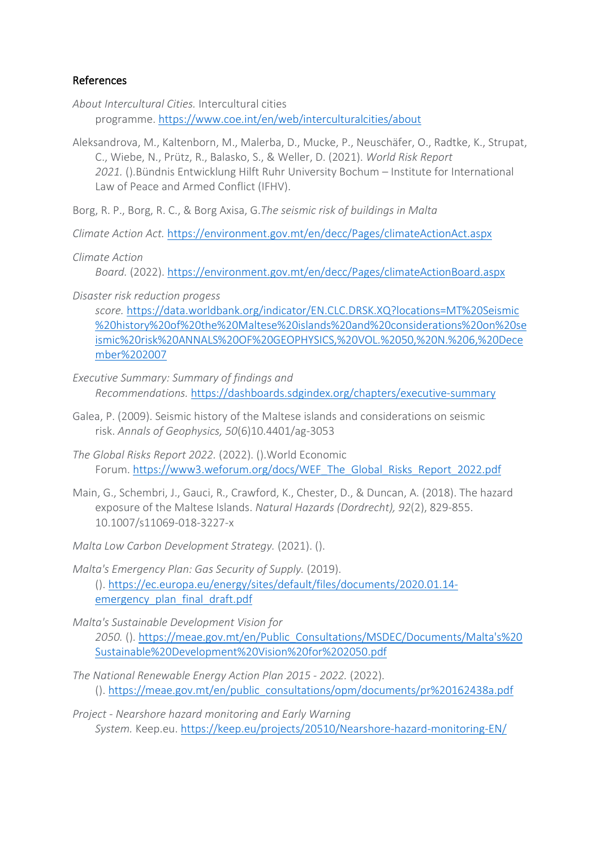#### References

*About Intercultural Cities.* Intercultural cities programme. <https://www.coe.int/en/web/interculturalcities/about>

Aleksandrova, M., Kaltenborn, M., Malerba, D., Mucke, P., Neuschäfer, O., Radtke, K., Strupat, C., Wiebe, N., Prütz, R., Balasko, S., & Weller, D. (2021). *World Risk Report 2021.* ().Bündnis Entwicklung Hilft Ruhr University Bochum – Institute for International Law of Peace and Armed Conflict (IFHV).

Borg, R. P., Borg, R. C., & Borg Axisa, G.*The seismic risk of buildings in Malta*

*Climate Action Act.* <https://environment.gov.mt/en/decc/Pages/climateActionAct.aspx>

*Climate Action* 

*Board.* (2022). <https://environment.gov.mt/en/decc/Pages/climateActionBoard.aspx>

*Disaster risk reduction progess* 

*score.* [https://data.worldbank.org/indicator/EN.CLC.DRSK.XQ?locations=MT%20Seismic](https://data.worldbank.org/indicator/EN.CLC.DRSK.XQ?locations=MT%20Seismic%20history%20of%20the%20Maltese%20islands%20and%20considerations%20on%20seismic%20risk%20ANNALS%20OF%20GEOPHYSICS,%20VOL.%2050,%20N.%206,%20December%202007) [%20history%20of%20the%20Maltese%20islands%20and%20considerations%20on%20se](https://data.worldbank.org/indicator/EN.CLC.DRSK.XQ?locations=MT%20Seismic%20history%20of%20the%20Maltese%20islands%20and%20considerations%20on%20seismic%20risk%20ANNALS%20OF%20GEOPHYSICS,%20VOL.%2050,%20N.%206,%20December%202007) [ismic%20risk%20ANNALS%20OF%20GEOPHYSICS,%20VOL.%2050,%20N.%206,%20Dece](https://data.worldbank.org/indicator/EN.CLC.DRSK.XQ?locations=MT%20Seismic%20history%20of%20the%20Maltese%20islands%20and%20considerations%20on%20seismic%20risk%20ANNALS%20OF%20GEOPHYSICS,%20VOL.%2050,%20N.%206,%20December%202007) [mber%202007](https://data.worldbank.org/indicator/EN.CLC.DRSK.XQ?locations=MT%20Seismic%20history%20of%20the%20Maltese%20islands%20and%20considerations%20on%20seismic%20risk%20ANNALS%20OF%20GEOPHYSICS,%20VOL.%2050,%20N.%206,%20December%202007)

- *Executive Summary: Summary of findings and Recommendations.* <https://dashboards.sdgindex.org/chapters/executive-summary>
- Galea, P. (2009). Seismic history of the Maltese islands and considerations on seismic risk. *Annals of Geophysics, 50*(6)10.4401/ag-3053
- *The Global Risks Report 2022.* (2022). ().World Economic Forum. [https://www3.weforum.org/docs/WEF\\_The\\_Global\\_Risks\\_Report\\_2022.pdf](https://www3.weforum.org/docs/WEF_The_Global_Risks_Report_2022.pdf)
- Main, G., Schembri, J., Gauci, R., Crawford, K., Chester, D., & Duncan, A. (2018). The hazard exposure of the Maltese Islands. *Natural Hazards (Dordrecht), 92*(2), 829-855. 10.1007/s11069-018-3227-x

*Malta Low Carbon Development Strategy.* (2021). ().

*Malta's Emergency Plan: Gas Security of Supply.* (2019). (). [https://ec.europa.eu/energy/sites/default/files/documents/2020.01.14](https://ec.europa.eu/energy/sites/default/files/documents/2020.01.14-emergency_plan_final_draft.pdf) emergency plan final draft.pdf

*Malta's Sustainable Development Vision for 2050.* (). [https://meae.gov.mt/en/Public\\_Consultations/MSDEC/Documents/Malta's%20](https://meae.gov.mt/en/Public_Consultations/MSDEC/Documents/Malta) [Sustainable%20Development%20Vision%20for%202050.pdf](https://meae.gov.mt/en/Public_Consultations/MSDEC/Documents/Malta)

- *The National Renewable Energy Action Plan 2015 - 2022.* (2022). (). [https://meae.gov.mt/en/public\\_consultations/opm/documents/pr%20162438a.pdf](https://meae.gov.mt/en/public_consultations/opm/documents/pr%20162438a.pdf)
- *Project - Nearshore hazard monitoring and Early Warning System.* Keep.eu. <https://keep.eu/projects/20510/Nearshore-hazard-monitoring-EN/>